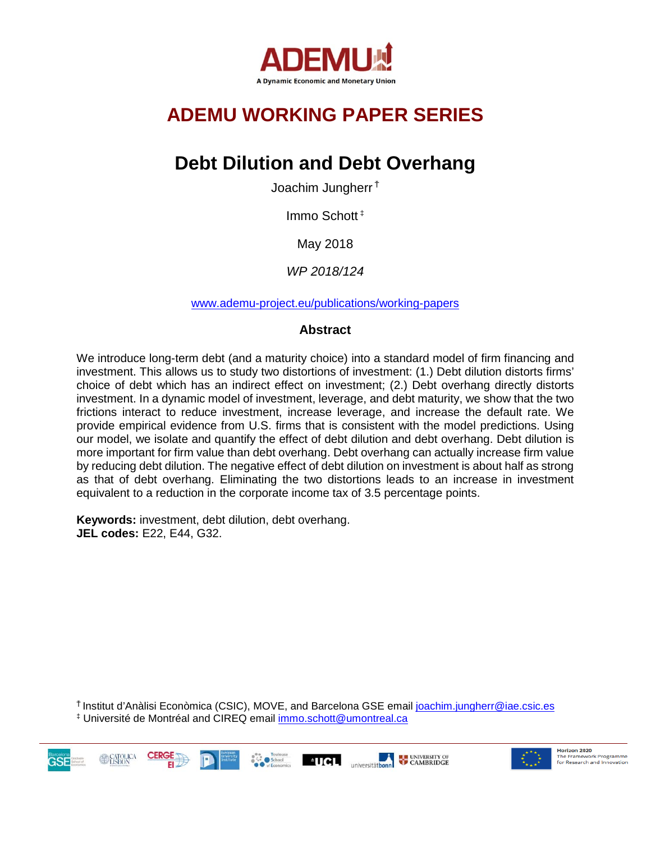

# **ADEMU WORKING PAPER SERIES**

# **Debt Dilution and Debt Overhang**

Joachim Jungherr <sup>Ť</sup>

Immo Schott ‡

May 2018

*WP 2018/124*

[www.ademu-project.eu/publications/working-papers](http://www.ademu-project.eu/publications/working-papers)

## **Abstract**

We introduce long-term debt (and a maturity choice) into a standard model of firm financing and investment. This allows us to study two distortions of investment: (1.) Debt dilution distorts firms' choice of debt which has an indirect effect on investment; (2.) Debt overhang directly distorts investment. In a dynamic model of investment, leverage, and debt maturity, we show that the two frictions interact to reduce investment, increase leverage, and increase the default rate. We provide empirical evidence from U.S. firms that is consistent with the model predictions. Using our model, we isolate and quantify the effect of debt dilution and debt overhang. Debt dilution is more important for firm value than debt overhang. Debt overhang can actually increase firm value by reducing debt dilution. The negative effect of debt dilution on investment is about half as strong as that of debt overhang. Eliminating the two distortions leads to an increase in investment equivalent to a reduction in the corporate income tax of 3.5 percentage points.

**Keywords:** investment, debt dilution, debt overhang. **JEL codes:** E22, E44, G32.

<sup>Ť</sup>Institut d'Anàlisi Econòmica (CSIC), MOVE, and Barcelona GSE email [joachim.jungherr@iae.csic.es](mailto:joachim.jungherr@iae.csic.es) ‡ Université de Montréal and CIREQ email [immo.schott@umontreal.ca](mailto:immo.schott@umontreal.ca) 





Horizon 2020 The Framework Programme for Research and Innovation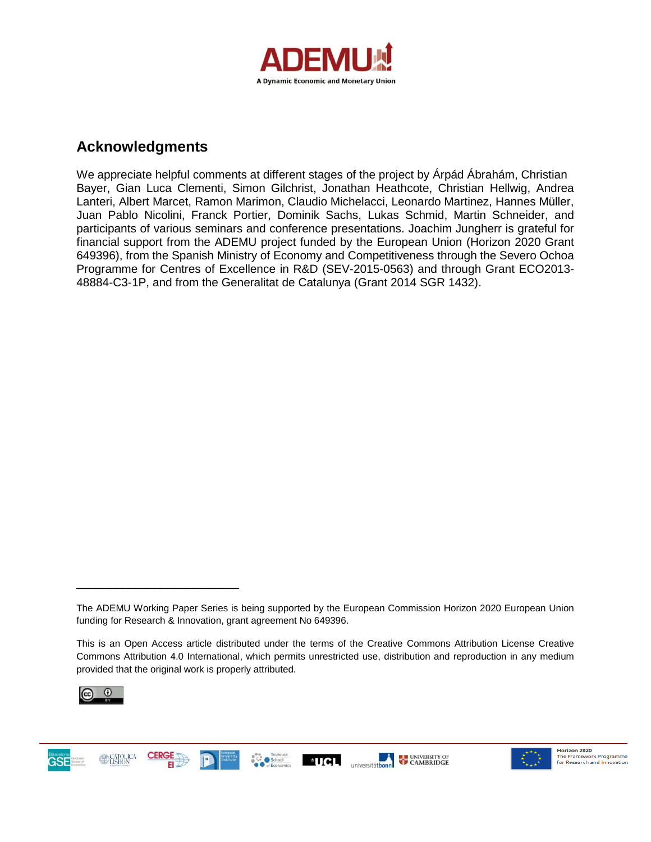

## **Acknowledgments**

We appreciate helpful comments at different stages of the project by Árpád Ábrahám, Christian Bayer, Gian Luca Clementi, Simon Gilchrist, Jonathan Heathcote, Christian Hellwig, Andrea Lanteri, Albert Marcet, Ramon Marimon, Claudio Michelacci, Leonardo Martinez, Hannes Müller, Juan Pablo Nicolini, Franck Portier, Dominik Sachs, Lukas Schmid, Martin Schneider, and participants of various seminars and conference presentations. Joachim Jungherr is grateful for financial support from the ADEMU project funded by the European Union (Horizon 2020 Grant 649396), from the Spanish Ministry of Economy and Competitiveness through the Severo Ochoa Programme for Centres of Excellence in R&D (SEV-2015-0563) and through Grant ECO2013- 48884-C3-1P, and from the Generalitat de Catalunya (Grant 2014 SGR 1432).

This is an Open Access article distributed under the terms of the Creative Commons Attribution License Creative Commons Attribution 4.0 International, which permits unrestricted use, distribution and reproduction in any medium provided that the original work is properly attributed.



**GSE** 

\_\_\_\_\_\_\_\_\_\_\_\_\_\_\_\_\_\_\_\_\_\_\_\_\_







The ADEMU Working Paper Series is being supported by the European Commission Horizon 2020 European Union funding for Research & Innovation, grant agreement No 649396.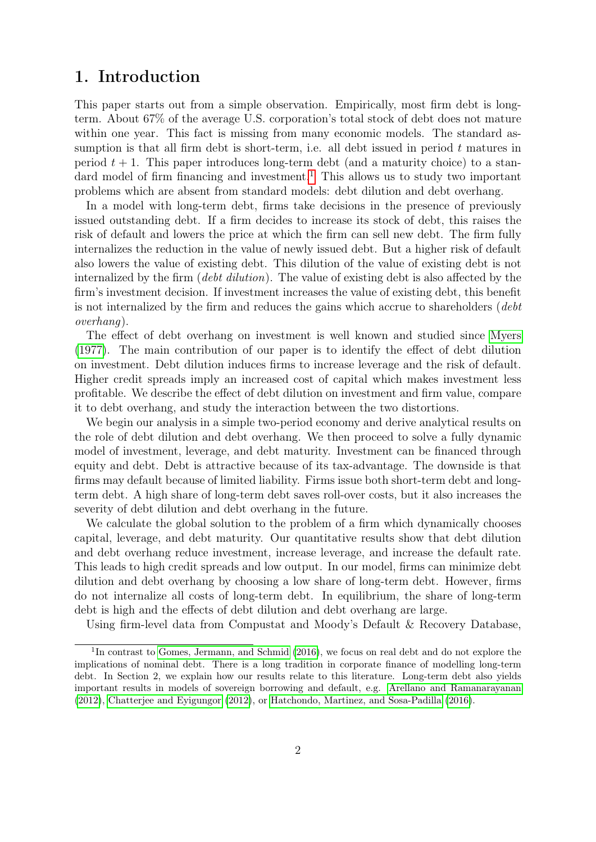## 1. Introduction

This paper starts out from a simple observation. Empirically, most firm debt is longterm. About 67% of the average U.S. corporation's total stock of debt does not mature within one year. This fact is missing from many economic models. The standard assumption is that all firm debt is short-term, i.e. all debt issued in period  $t$  matures in period  $t + 1$ . This paper introduces long-term debt (and a maturity choice) to a stan-dard model of firm financing and investment.<sup>[1](#page-2-0)</sup> This allows us to study two important problems which are absent from standard models: debt dilution and debt overhang.

In a model with long-term debt, firms take decisions in the presence of previously issued outstanding debt. If a firm decides to increase its stock of debt, this raises the risk of default and lowers the price at which the firm can sell new debt. The firm fully internalizes the reduction in the value of newly issued debt. But a higher risk of default also lowers the value of existing debt. This dilution of the value of existing debt is not internalized by the firm (*debt dilution*). The value of existing debt is also affected by the firm's investment decision. If investment increases the value of existing debt, this benefit is not internalized by the firm and reduces the gains which accrue to shareholders (debt overhang).

The effect of debt overhang on investment is well known and studied since [Myers](#page-37-0) [\(1977\)](#page-37-0). The main contribution of our paper is to identify the effect of debt dilution on investment. Debt dilution induces firms to increase leverage and the risk of default. Higher credit spreads imply an increased cost of capital which makes investment less profitable. We describe the effect of debt dilution on investment and firm value, compare it to debt overhang, and study the interaction between the two distortions.

We begin our analysis in a simple two-period economy and derive analytical results on the role of debt dilution and debt overhang. We then proceed to solve a fully dynamic model of investment, leverage, and debt maturity. Investment can be financed through equity and debt. Debt is attractive because of its tax-advantage. The downside is that firms may default because of limited liability. Firms issue both short-term debt and longterm debt. A high share of long-term debt saves roll-over costs, but it also increases the severity of debt dilution and debt overhang in the future.

We calculate the global solution to the problem of a firm which dynamically chooses capital, leverage, and debt maturity. Our quantitative results show that debt dilution and debt overhang reduce investment, increase leverage, and increase the default rate. This leads to high credit spreads and low output. In our model, firms can minimize debt dilution and debt overhang by choosing a low share of long-term debt. However, firms do not internalize all costs of long-term debt. In equilibrium, the share of long-term debt is high and the effects of debt dilution and debt overhang are large.

Using firm-level data from Compustat and Moody's Default & Recovery Database,

<span id="page-2-0"></span><sup>&</sup>lt;sup>1</sup>In contrast to [Gomes, Jermann, and Schmid](#page-36-0) [\(2016\)](#page-36-0), we focus on real debt and do not explore the implications of nominal debt. There is a long tradition in corporate finance of modelling long-term debt. In Section 2, we explain how our results relate to this literature. Long-term debt also yields important results in models of sovereign borrowing and default, e.g. [Arellano and Ramanarayanan](#page-35-0) [\(2012\)](#page-35-0), [Chatterjee and Eyigungor](#page-36-1) [\(2012\)](#page-36-1), or [Hatchondo, Martinez, and Sosa-Padilla](#page-37-1) [\(2016\)](#page-37-1).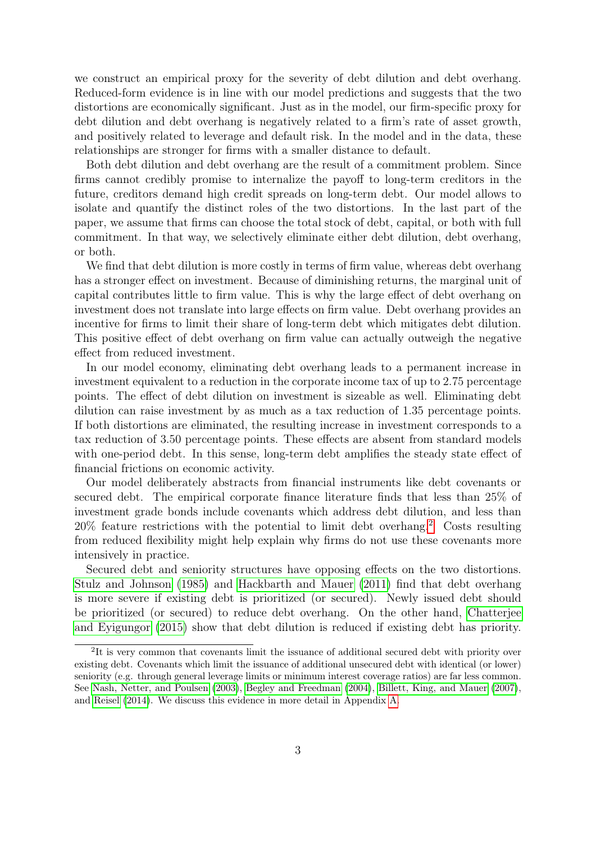we construct an empirical proxy for the severity of debt dilution and debt overhang. Reduced-form evidence is in line with our model predictions and suggests that the two distortions are economically significant. Just as in the model, our firm-specific proxy for debt dilution and debt overhang is negatively related to a firm's rate of asset growth, and positively related to leverage and default risk. In the model and in the data, these relationships are stronger for firms with a smaller distance to default.

Both debt dilution and debt overhang are the result of a commitment problem. Since firms cannot credibly promise to internalize the payoff to long-term creditors in the future, creditors demand high credit spreads on long-term debt. Our model allows to isolate and quantify the distinct roles of the two distortions. In the last part of the paper, we assume that firms can choose the total stock of debt, capital, or both with full commitment. In that way, we selectively eliminate either debt dilution, debt overhang, or both.

We find that debt dilution is more costly in terms of firm value, whereas debt overhang has a stronger effect on investment. Because of diminishing returns, the marginal unit of capital contributes little to firm value. This is why the large effect of debt overhang on investment does not translate into large effects on firm value. Debt overhang provides an incentive for firms to limit their share of long-term debt which mitigates debt dilution. This positive effect of debt overhang on firm value can actually outweigh the negative effect from reduced investment.

In our model economy, eliminating debt overhang leads to a permanent increase in investment equivalent to a reduction in the corporate income tax of up to 2.75 percentage points. The effect of debt dilution on investment is sizeable as well. Eliminating debt dilution can raise investment by as much as a tax reduction of 1.35 percentage points. If both distortions are eliminated, the resulting increase in investment corresponds to a tax reduction of 3.50 percentage points. These effects are absent from standard models with one-period debt. In this sense, long-term debt amplifies the steady state effect of financial frictions on economic activity.

Our model deliberately abstracts from financial instruments like debt covenants or secured debt. The empirical corporate finance literature finds that less than 25% of investment grade bonds include covenants which address debt dilution, and less than  $20\%$  $20\%$  feature restrictions with the potential to limit debt overhang.<sup>2</sup> Costs resulting from reduced flexibility might help explain why firms do not use these covenants more intensively in practice.

Secured debt and seniority structures have opposing effects on the two distortions. [Stulz and Johnson](#page-38-0) [\(1985\)](#page-38-0) and [Hackbarth and Mauer](#page-37-2) [\(2011\)](#page-37-2) find that debt overhang is more severe if existing debt is prioritized (or secured). Newly issued debt should be prioritized (or secured) to reduce debt overhang. On the other hand, [Chatterjee](#page-36-2) [and Eyigungor](#page-36-2) [\(2015\)](#page-36-2) show that debt dilution is reduced if existing debt has priority.

<span id="page-3-0"></span><sup>&</sup>lt;sup>2</sup>It is very common that covenants limit the issuance of additional secured debt with priority over existing debt. Covenants which limit the issuance of additional unsecured debt with identical (or lower) seniority (e.g. through general leverage limits or minimum interest coverage ratios) are far less common. See [Nash, Netter, and Poulsen](#page-37-3) [\(2003\)](#page-37-3), [Begley and Freedman](#page-35-1) [\(2004\)](#page-35-1), [Billett, King, and Mauer](#page-35-2) [\(2007\)](#page-35-2), and [Reisel](#page-38-1) [\(2014\)](#page-38-1). We discuss this evidence in more detail in Appendix [A.](#page-39-0)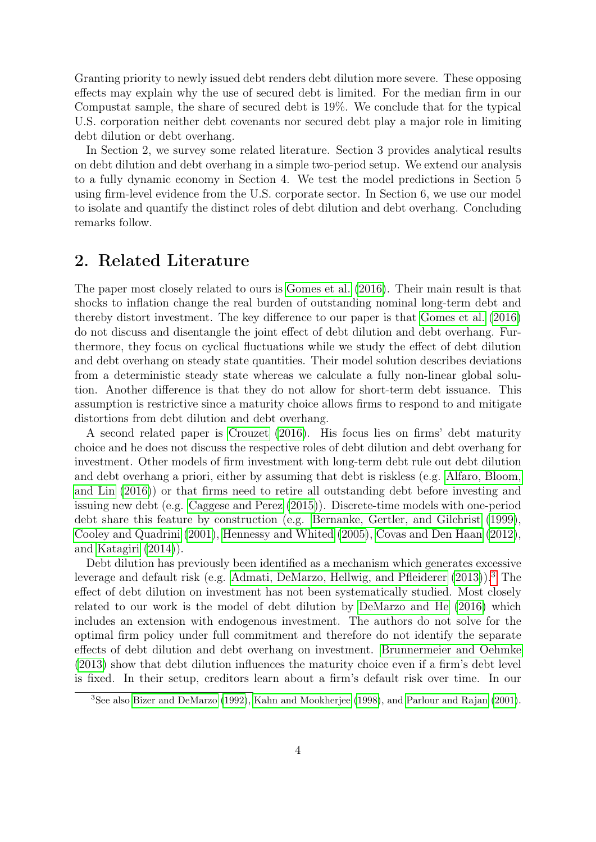Granting priority to newly issued debt renders debt dilution more severe. These opposing effects may explain why the use of secured debt is limited. For the median firm in our Compustat sample, the share of secured debt is 19%. We conclude that for the typical U.S. corporation neither debt covenants nor secured debt play a major role in limiting debt dilution or debt overhang.

In Section 2, we survey some related literature. Section 3 provides analytical results on debt dilution and debt overhang in a simple two-period setup. We extend our analysis to a fully dynamic economy in Section 4. We test the model predictions in Section 5 using firm-level evidence from the U.S. corporate sector. In Section 6, we use our model to isolate and quantify the distinct roles of debt dilution and debt overhang. Concluding remarks follow.

## 2. Related Literature

The paper most closely related to ours is [Gomes et al.](#page-36-0) [\(2016\)](#page-36-0). Their main result is that shocks to inflation change the real burden of outstanding nominal long-term debt and thereby distort investment. The key difference to our paper is that [Gomes et al.](#page-36-0) [\(2016\)](#page-36-0) do not discuss and disentangle the joint effect of debt dilution and debt overhang. Furthermore, they focus on cyclical fluctuations while we study the effect of debt dilution and debt overhang on steady state quantities. Their model solution describes deviations from a deterministic steady state whereas we calculate a fully non-linear global solution. Another difference is that they do not allow for short-term debt issuance. This assumption is restrictive since a maturity choice allows firms to respond to and mitigate distortions from debt dilution and debt overhang.

A second related paper is [Crouzet](#page-36-3) [\(2016\)](#page-36-3). His focus lies on firms' debt maturity choice and he does not discuss the respective roles of debt dilution and debt overhang for investment. Other models of firm investment with long-term debt rule out debt dilution and debt overhang a priori, either by assuming that debt is riskless (e.g. [Alfaro, Bloom,](#page-35-3) [and Lin](#page-35-3) [\(2016\)](#page-35-3)) or that firms need to retire all outstanding debt before investing and issuing new debt (e.g. [Caggese and Perez](#page-35-4) [\(2015\)](#page-35-4)). Discrete-time models with one-period debt share this feature by construction (e.g. [Bernanke, Gertler, and Gilchrist](#page-35-5) [\(1999\)](#page-35-5), [Cooley and Quadrini](#page-36-4) [\(2001\)](#page-36-4), [Hennessy and Whited](#page-37-4) [\(2005\)](#page-37-4), [Covas and Den Haan](#page-36-5) [\(2012\)](#page-36-5), and [Katagiri](#page-37-5) [\(2014\)](#page-37-5)).

Debt dilution has previously been identified as a mechanism which generates excessive leverage and default risk (e.g. [Admati, DeMarzo, Hellwig, and Pfleiderer](#page-35-6) [\(2013\)](#page-35-6)).[3](#page-4-0) The effect of debt dilution on investment has not been systematically studied. Most closely related to our work is the model of debt dilution by [DeMarzo and He](#page-36-6) [\(2016\)](#page-36-6) which includes an extension with endogenous investment. The authors do not solve for the optimal firm policy under full commitment and therefore do not identify the separate effects of debt dilution and debt overhang on investment. [Brunnermeier and Oehmke](#page-35-7) [\(2013\)](#page-35-7) show that debt dilution influences the maturity choice even if a firm's debt level is fixed. In their setup, creditors learn about a firm's default risk over time. In our

<span id="page-4-0"></span><sup>&</sup>lt;sup>3</sup>See also [Bizer and DeMarzo](#page-35-8) [\(1992\)](#page-35-8), [Kahn and Mookherjee](#page-37-6) [\(1998\)](#page-37-6), and [Parlour and Rajan](#page-38-2) [\(2001\)](#page-38-2).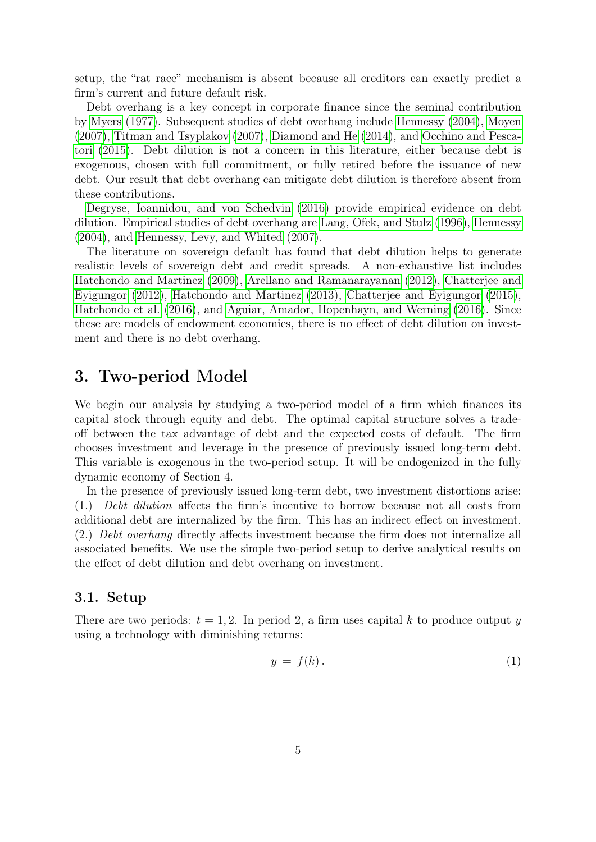setup, the "rat race" mechanism is absent because all creditors can exactly predict a firm's current and future default risk.

Debt overhang is a key concept in corporate finance since the seminal contribution by [Myers](#page-37-0) [\(1977\)](#page-37-0). Subsequent studies of debt overhang include [Hennessy](#page-37-7) [\(2004\)](#page-37-7), [Moyen](#page-37-8) [\(2007\)](#page-37-8), [Titman and Tsyplakov](#page-38-3) [\(2007\)](#page-38-3), [Diamond and He](#page-36-7) [\(2014\)](#page-36-7), and [Occhino and Pesca](#page-38-4)[tori](#page-38-4) [\(2015\)](#page-38-4). Debt dilution is not a concern in this literature, either because debt is exogenous, chosen with full commitment, or fully retired before the issuance of new debt. Our result that debt overhang can mitigate debt dilution is therefore absent from these contributions.

[Degryse, Ioannidou, and von Schedvin](#page-36-8) [\(2016\)](#page-36-8) provide empirical evidence on debt dilution. Empirical studies of debt overhang are [Lang, Ofek, and Stulz](#page-37-9) [\(1996\)](#page-37-9), [Hennessy](#page-37-7) [\(2004\)](#page-37-7), and [Hennessy, Levy, and Whited](#page-37-10) [\(2007\)](#page-37-10).

The literature on sovereign default has found that debt dilution helps to generate realistic levels of sovereign debt and credit spreads. A non-exhaustive list includes [Hatchondo and Martinez](#page-37-11) [\(2009\)](#page-37-11), [Arellano and Ramanarayanan](#page-35-0) [\(2012\)](#page-35-0), [Chatterjee and](#page-36-1) [Eyigungor](#page-36-1) [\(2012\)](#page-36-1), [Hatchondo and Martinez](#page-37-12) [\(2013\)](#page-37-12), [Chatterjee and Eyigungor](#page-36-2) [\(2015\)](#page-36-2), [Hatchondo et al.](#page-37-1) [\(2016\)](#page-37-1), and [Aguiar, Amador, Hopenhayn, and Werning](#page-35-9) [\(2016\)](#page-35-9). Since these are models of endowment economies, there is no effect of debt dilution on investment and there is no debt overhang.

## 3. Two-period Model

We begin our analysis by studying a two-period model of a firm which finances its capital stock through equity and debt. The optimal capital structure solves a tradeoff between the tax advantage of debt and the expected costs of default. The firm chooses investment and leverage in the presence of previously issued long-term debt. This variable is exogenous in the two-period setup. It will be endogenized in the fully dynamic economy of Section 4.

In the presence of previously issued long-term debt, two investment distortions arise: (1.) Debt dilution affects the firm's incentive to borrow because not all costs from additional debt are internalized by the firm. This has an indirect effect on investment. (2.) Debt overhang directly affects investment because the firm does not internalize all associated benefits. We use the simple two-period setup to derive analytical results on the effect of debt dilution and debt overhang on investment.

### 3.1. Setup

There are two periods:  $t = 1, 2$ . In period 2, a firm uses capital k to produce output y using a technology with diminishing returns:

$$
y = f(k). \tag{1}
$$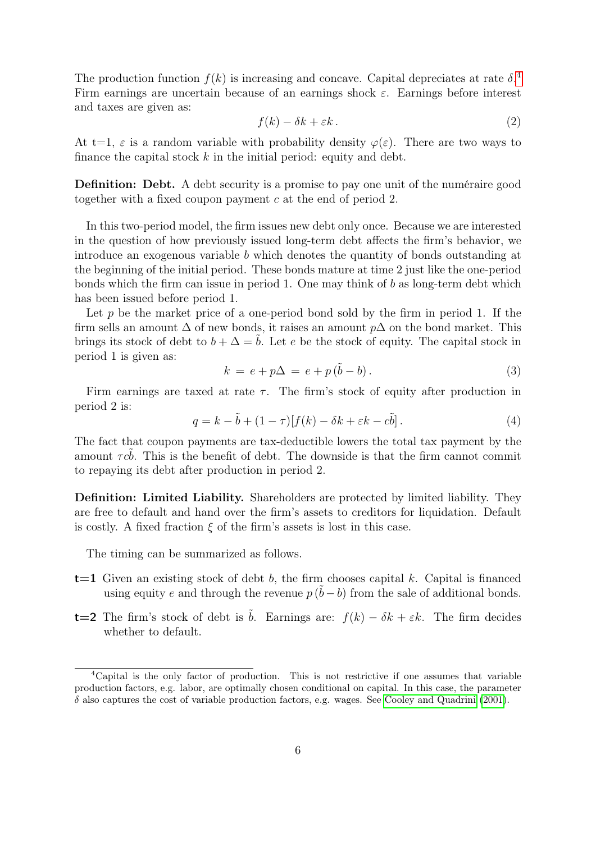The production function  $f(k)$  is increasing and concave. Capital depreciates at rate  $\delta$ . Firm earnings are uncertain because of an earnings shock  $\varepsilon$ . Earnings before interest and taxes are given as:

$$
f(k) - \delta k + \varepsilon k \,. \tag{2}
$$

At t=1,  $\varepsilon$  is a random variable with probability density  $\varphi(\varepsilon)$ . There are two ways to finance the capital stock  $k$  in the initial period: equity and debt.

Definition: Debt. A debt security is a promise to pay one unit of the numéraire good together with a fixed coupon payment c at the end of period 2.

In this two-period model, the firm issues new debt only once. Because we are interested in the question of how previously issued long-term debt affects the firm's behavior, we introduce an exogenous variable b which denotes the quantity of bonds outstanding at the beginning of the initial period. These bonds mature at time 2 just like the one-period bonds which the firm can issue in period 1. One may think of  $b$  as long-term debt which has been issued before period 1.

Let p be the market price of a one-period bond sold by the firm in period 1. If the firm sells an amount  $\Delta$  of new bonds, it raises an amount  $p\Delta$  on the bond market. This brings its stock of debt to  $b + \Delta = b$ . Let e be the stock of equity. The capital stock in period 1 is given as:

$$
k = e + p\Delta = e + p(\tilde{b} - b).
$$
\n(3)

Firm earnings are taxed at rate  $\tau$ . The firm's stock of equity after production in period 2 is:

$$
q = k - \tilde{b} + (1 - \tau)[f(k) - \delta k + \varepsilon k - c\tilde{b}].
$$
\n(4)

The fact that coupon payments are tax-deductible lowers the total tax payment by the amount  $\tau c\dot{b}$ . This is the benefit of debt. The downside is that the firm cannot commit to repaying its debt after production in period 2.

Definition: Limited Liability. Shareholders are protected by limited liability. They are free to default and hand over the firm's assets to creditors for liquidation. Default is costly. A fixed fraction  $\xi$  of the firm's assets is lost in this case.

The timing can be summarized as follows.

- $t=1$  Given an existing stock of debt b, the firm chooses capital k. Capital is financed using equity e and through the revenue  $p(\tilde{b}-b)$  from the sale of additional bonds.
- **t=2** The firm's stock of debt is  $\tilde{b}$ . Earnings are:  $f(k) \delta k + \varepsilon k$ . The firm decides whether to default.

<span id="page-6-0"></span><sup>4</sup>Capital is the only factor of production. This is not restrictive if one assumes that variable production factors, e.g. labor, are optimally chosen conditional on capital. In this case, the parameter  $\delta$  also captures the cost of variable production factors, e.g. wages. See [Cooley and Quadrini](#page-36-4) [\(2001\)](#page-36-4).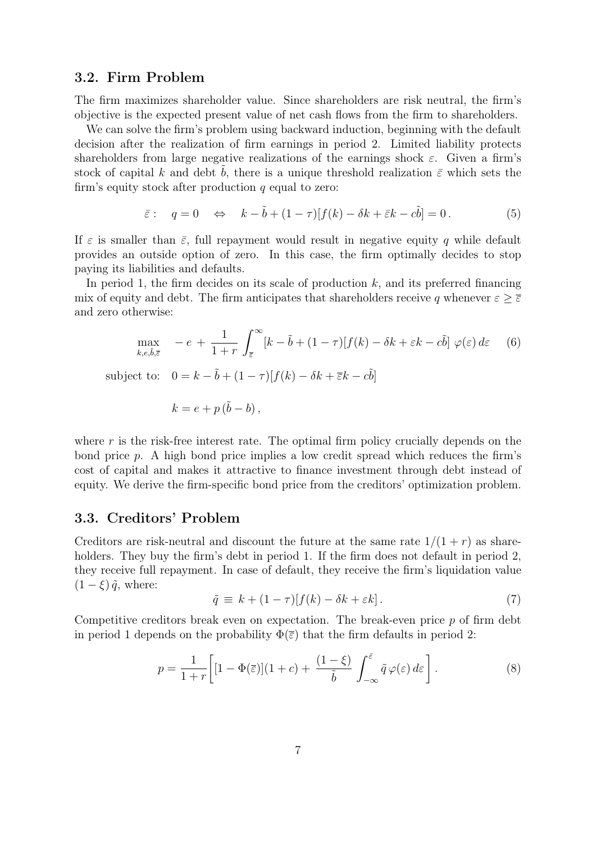## 3.2. Firm Problem

The firm maximizes shareholder value. Since shareholders are risk neutral, the firm's objective is the expected present value of net cash flows from the firm to shareholders.

We can solve the firm's problem using backward induction, beginning with the default decision after the realization of firm earnings in period 2. Limited liability protects shareholders from large negative realizations of the earnings shock  $\varepsilon$ . Given a firm's stock of capital k and debt b, there is a unique threshold realization  $\bar{\varepsilon}$  which sets the firm's equity stock after production  $q$  equal to zero:

$$
\bar{\varepsilon}: \quad q = 0 \quad \Leftrightarrow \quad k - \tilde{b} + (1 - \tau)[f(k) - \delta k + \bar{\varepsilon}k - c\tilde{b}] = 0. \tag{5}
$$

If  $\varepsilon$  is smaller than  $\bar{\varepsilon}$ , full repayment would result in negative equity q while default provides an outside option of zero. In this case, the firm optimally decides to stop paying its liabilities and defaults.

In period 1, the firm decides on its scale of production  $k$ , and its preferred financing mix of equity and debt. The firm anticipates that shareholders receive q whenever  $\varepsilon \geq \overline{\varepsilon}$ and zero otherwise:

$$
\max_{k,e,\tilde{b},\bar{\varepsilon}} -e + \frac{1}{1+r} \int_{\bar{\varepsilon}}^{\infty} [k-\tilde{b} + (1-\tau)[f(k)-\delta k + \varepsilon k - c\tilde{b}] \varphi(\varepsilon) d\varepsilon \tag{6}
$$

subject to:  $0 = k - \tilde{b} + (1 - \tau)[f(k) - \delta k + \overline{\varepsilon}k - c\tilde{b}]$ 

<span id="page-7-0"></span>
$$
k = e + p(\tilde{b} - b),
$$

where  $r$  is the risk-free interest rate. The optimal firm policy crucially depends on the bond price p. A high bond price implies a low credit spread which reduces the firm's cost of capital and makes it attractive to finance investment through debt instead of equity. We derive the firm-specific bond price from the creditors' optimization problem.

### 3.3. Creditors' Problem

Creditors are risk-neutral and discount the future at the same rate  $1/(1+r)$  as shareholders. They buy the firm's debt in period 1. If the firm does not default in period 2, they receive full repayment. In case of default, they receive the firm's liquidation value  $(1 - \xi) \tilde{q}$ , where:

<span id="page-7-1"></span>
$$
\tilde{q} \equiv k + (1 - \tau)[f(k) - \delta k + \varepsilon k]. \tag{7}
$$

Competitive creditors break even on expectation. The break-even price  $p$  of firm debt in period 1 depends on the probability  $\Phi(\bar{\varepsilon})$  that the firm defaults in period 2:

$$
p = \frac{1}{1+r} \left[ [1 - \Phi(\overline{\varepsilon})](1+c) + \frac{(1-\xi)}{\tilde{b}} \int_{-\infty}^{\overline{\varepsilon}} \tilde{q} \varphi(\varepsilon) d\varepsilon \right]. \tag{8}
$$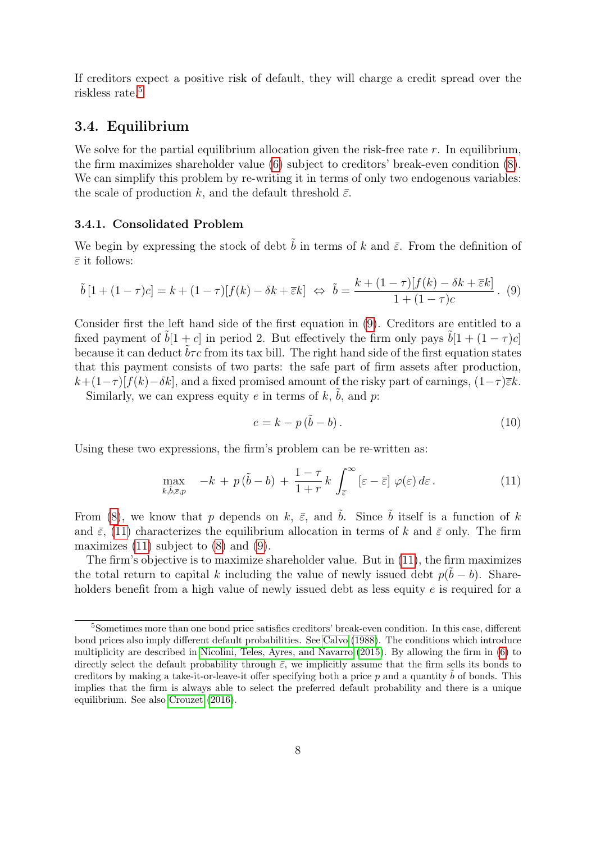If creditors expect a positive risk of default, they will charge a credit spread over the riskless rate.<sup>[5](#page-8-0)</sup>

## 3.4. Equilibrium

We solve for the partial equilibrium allocation given the risk-free rate  $r$ . In equilibrium, the firm maximizes shareholder value [\(6\)](#page-7-0) subject to creditors' break-even condition [\(8\)](#page-7-1). We can simplify this problem by re-writing it in terms of only two endogenous variables: the scale of production k, and the default threshold  $\bar{\varepsilon}$ .

#### <span id="page-8-4"></span>3.4.1. Consolidated Problem

We begin by expressing the stock of debt  $\tilde{b}$  in terms of k and  $\bar{\varepsilon}$ . From the definition of  $\overline{\varepsilon}$  it follows:

<span id="page-8-1"></span>
$$
\tilde{b}[1+(1-\tau)c] = k+(1-\tau)[f(k)-\delta k + \overline{\varepsilon}k] \Leftrightarrow \tilde{b} = \frac{k+(1-\tau)[f(k)-\delta k + \overline{\varepsilon}k]}{1+(1-\tau)c}.
$$
 (9)

Consider first the left hand side of the first equation in [\(9\)](#page-8-1). Creditors are entitled to a fixed payment of  $\tilde{b}[1 + c]$  in period 2. But effectively the firm only pays  $\tilde{b}[1 + (1 - \tau)c]$ because it can deduct  $\tilde{b}\tau c$  from its tax bill. The right hand side of the first equation states that this payment consists of two parts: the safe part of firm assets after production,  $k+(1-\tau)[f(k)-\delta k]$ , and a fixed promised amount of the risky part of earnings,  $(1-\tau)\bar{\epsilon}k$ .

Similarly, we can express equity e in terms of k,  $\tilde{b}$ , and p:

<span id="page-8-3"></span>
$$
e = k - p(\tilde{b} - b). \tag{10}
$$

Using these two expressions, the firm's problem can be re-written as:

<span id="page-8-2"></span>
$$
\max_{k,\tilde{b},\bar{\varepsilon},p} \quad -k + p(\tilde{b}-b) + \frac{1-\tau}{1+r}k \int_{\bar{\varepsilon}}^{\infty} \left[\varepsilon - \bar{\varepsilon}\right] \varphi(\varepsilon) d\varepsilon. \tag{11}
$$

From [\(8\)](#page-7-1), we know that p depends on k,  $\bar{\varepsilon}$ , and  $\tilde{b}$ . Since  $\tilde{b}$  itself is a function of k and  $\bar{\varepsilon}$ , [\(11\)](#page-8-2) characterizes the equilibrium allocation in terms of k and  $\bar{\varepsilon}$  only. The firm maximizes  $(11)$  subject to  $(8)$  and  $(9)$ .

The firm's objective is to maximize shareholder value. But in [\(11\)](#page-8-2), the firm maximizes the total return to capital k including the value of newly issued debt  $p(\tilde{b} - b)$ . Shareholders benefit from a high value of newly issued debt as less equity  $e$  is required for a

<span id="page-8-0"></span><sup>5</sup>Sometimes more than one bond price satisfies creditors' break-even condition. In this case, different bond prices also imply different default probabilities. See [Calvo](#page-36-9) [\(1988\)](#page-36-9). The conditions which introduce multiplicity are described in [Nicolini, Teles, Ayres, and Navarro](#page-38-5) [\(2015\)](#page-38-5). By allowing the firm in [\(6\)](#page-7-0) to directly select the default probability through  $\bar{\varepsilon}$ , we implicitly assume that the firm sells its bonds to creditors by making a take-it-or-leave-it offer specifying both a price p and a quantity  $\hat{b}$  of bonds. This implies that the firm is always able to select the preferred default probability and there is a unique equilibrium. See also [Crouzet](#page-36-3) [\(2016\)](#page-36-3).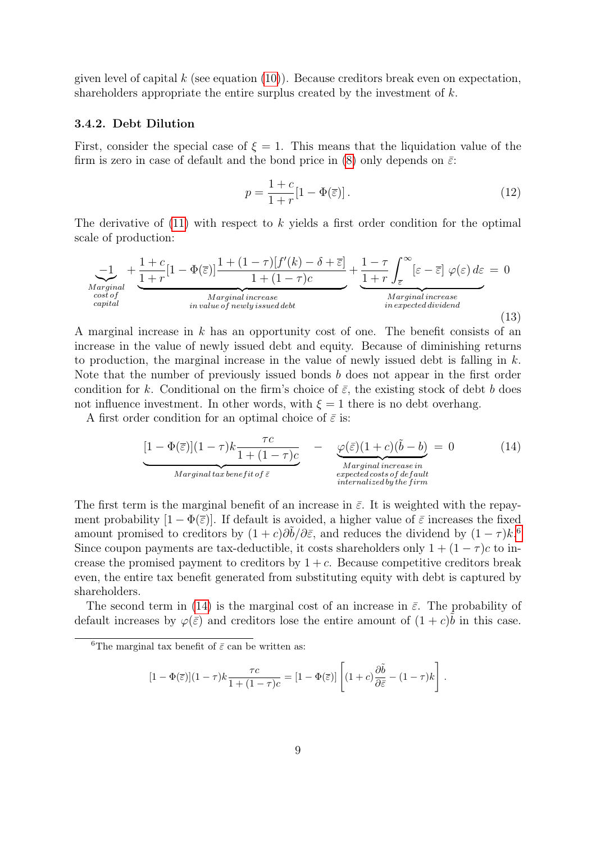given level of capital  $k$  (see equation  $(10)$ ). Because creditors break even on expectation, shareholders appropriate the entire surplus created by the investment of  $k$ .

#### <span id="page-9-4"></span>3.4.2. Debt Dilution

First, consider the special case of  $\xi = 1$ . This means that the liquidation value of the firm is zero in case of default and the bond price in [\(8\)](#page-7-1) only depends on  $\bar{\varepsilon}$ :

<span id="page-9-2"></span>
$$
p = \frac{1+c}{1+r}[1-\Phi(\overline{\varepsilon})].
$$
\n(12)

The derivative of  $(11)$  with respect to k yields a first order condition for the optimal scale of production:

<span id="page-9-3"></span>
$$
\underbrace{-1}_{\substack{Marginal \\ cost of \\ capital}} + \underbrace{\frac{1+c}{1+r}[1-\Phi(\overline{\varepsilon})] \frac{1+(1-\tau)[f'(k)-\delta+\overline{\varepsilon}]}{1+(1-\tau)c}}_{\substack{Marginal increase}} + \underbrace{\frac{1-\tau}{1+r} \int_{\overline{\varepsilon}}^{\infty} [\varepsilon-\overline{\varepsilon}] \varphi(\varepsilon) d\varepsilon}_{\substack{Marginal increase \\ marginal increase \\ in expected dividend}} = 0
$$
\n(13)

A marginal increase in  $k$  has an opportunity cost of one. The benefit consists of an increase in the value of newly issued debt and equity. Because of diminishing returns to production, the marginal increase in the value of newly issued debt is falling in k. Note that the number of previously issued bonds b does not appear in the first order condition for k. Conditional on the firm's choice of  $\bar{\varepsilon}$ , the existing stock of debt b does not influence investment. In other words, with  $\xi = 1$  there is no debt overhang.

A first order condition for an optimal choice of  $\bar{\varepsilon}$  is:

<span id="page-9-1"></span>
$$
\underbrace{[1 - \Phi(\overline{\varepsilon})](1 - \tau)k \frac{\tau c}{1 + (1 - \tau)c}}_{\text{Marginal tax benefit of } \overline{\varepsilon}} - \underbrace{\varphi(\overline{\varepsilon})(1 + c)(\tilde{b} - b)}_{\text{Marginal increase in} \atop \text{internalized by the firm}} = 0 \tag{14}
$$

The first term is the marginal benefit of an increase in  $\bar{\varepsilon}$ . It is weighted with the repayment probability  $[1 - \Phi(\bar{\varepsilon})]$ . If default is avoided, a higher value of  $\bar{\varepsilon}$  increases the fixed amount promised to creditors by  $(1 + c)\partial \tilde{b}/\partial \bar{\varepsilon}$ , and reduces the dividend by  $(1 - \tau)k$ .<sup>[6](#page-9-0)</sup> Since coupon payments are tax-deductible, it costs shareholders only  $1 + (1 - \tau)c$  to increase the promised payment to creditors by  $1+c$ . Because competitive creditors break even, the entire tax benefit generated from substituting equity with debt is captured by shareholders.

The second term in [\(14\)](#page-9-1) is the marginal cost of an increase in  $\bar{\varepsilon}$ . The probability of default increases by  $\varphi(\bar{\varepsilon})$  and creditors lose the entire amount of  $(1+c)\tilde{b}$  in this case.

$$
[1 - \Phi(\overline{\varepsilon})](1 - \tau)k \frac{\tau c}{1 + (1 - \tau)c} = [1 - \Phi(\overline{\varepsilon})] \left[ (1 + c) \frac{\partial \tilde{b}}{\partial \overline{\varepsilon}} - (1 - \tau)k \right].
$$

<span id="page-9-0"></span><sup>&</sup>lt;sup>6</sup>The marginal tax benefit of  $\bar{\varepsilon}$  can be written as: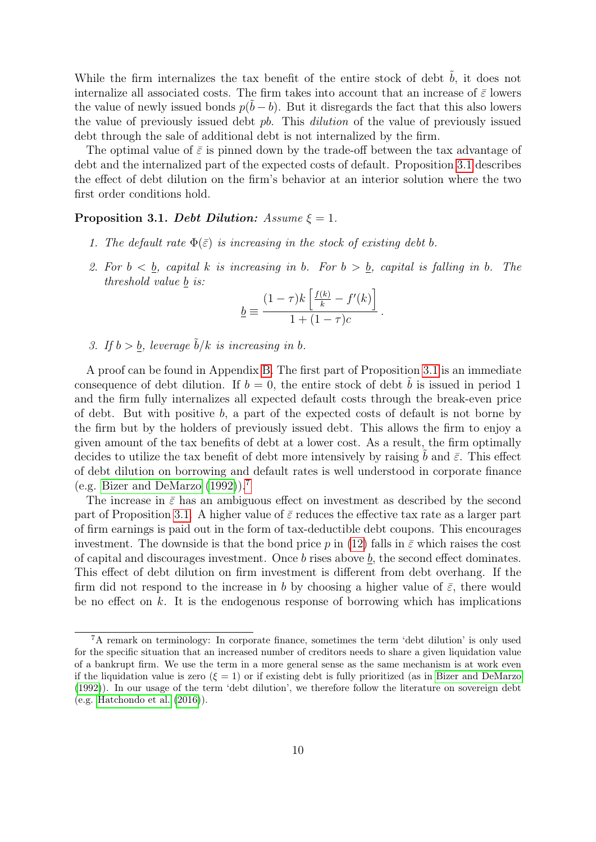While the firm internalizes the tax benefit of the entire stock of debt  $\tilde{b}$ , it does not internalize all associated costs. The firm takes into account that an increase of  $\bar{\varepsilon}$  lowers the value of newly issued bonds  $p(\tilde{b} - b)$ . But it disregards the fact that this also lowers the value of previously issued debt pb. This dilution of the value of previously issued debt through the sale of additional debt is not internalized by the firm.

The optimal value of  $\bar{\varepsilon}$  is pinned down by the trade-off between the tax advantage of debt and the internalized part of the expected costs of default. Proposition [3.1](#page-10-0) describes the effect of debt dilution on the firm's behavior at an interior solution where the two first order conditions hold.

#### <span id="page-10-0"></span>Proposition 3.1. Debt Dilution:  $Assume \xi = 1$ .

- 1. The default rate  $\Phi(\bar{\varepsilon})$  is increasing in the stock of existing debt b.
- 2. For  $b < b$ , capital k is increasing in b. For  $b > b$ , capital is falling in b. The threshold value b is:

$$
\underline{b} \equiv \frac{(1-\tau)k\left[\frac{f(k)}{k} - f'(k)\right]}{1+(1-\tau)c}.
$$

3. If  $b > b$ , leverage  $\tilde{b}/k$  is increasing in b.

A proof can be found in Appendix [B.](#page-39-1) The first part of Proposition [3.1](#page-10-0) is an immediate consequence of debt dilution. If  $b = 0$ , the entire stock of debt b is issued in period 1 and the firm fully internalizes all expected default costs through the break-even price of debt. But with positive  $b$ , a part of the expected costs of default is not borne by the firm but by the holders of previously issued debt. This allows the firm to enjoy a given amount of the tax benefits of debt at a lower cost. As a result, the firm optimally decides to utilize the tax benefit of debt more intensively by raising b and  $\bar{\varepsilon}$ . This effect of debt dilution on borrowing and default rates is well understood in corporate finance (e.g. [Bizer and DeMarzo](#page-35-8) [\(1992\)](#page-35-8)).[7](#page-10-1)

The increase in  $\bar{\varepsilon}$  has an ambiguous effect on investment as described by the second part of Proposition [3.1.](#page-10-0) A higher value of  $\bar{\varepsilon}$  reduces the effective tax rate as a larger part of firm earnings is paid out in the form of tax-deductible debt coupons. This encourages investment. The downside is that the bond price p in [\(12\)](#page-9-2) falls in  $\bar{\varepsilon}$  which raises the cost of capital and discourages investment. Once  $b$  rises above  $\underline{b}$ , the second effect dominates. This effect of debt dilution on firm investment is different from debt overhang. If the firm did not respond to the increase in b by choosing a higher value of  $\bar{\varepsilon}$ , there would be no effect on  $k$ . It is the endogenous response of borrowing which has implications

<span id="page-10-1"></span> ${}^{7}$ A remark on terminology: In corporate finance, sometimes the term 'debt dilution' is only used for the specific situation that an increased number of creditors needs to share a given liquidation value of a bankrupt firm. We use the term in a more general sense as the same mechanism is at work even if the liquidation value is zero  $(\xi = 1)$  or if existing debt is fully prioritized (as in [Bizer and DeMarzo](#page-35-8) [\(1992\)](#page-35-8)). In our usage of the term 'debt dilution', we therefore follow the literature on sovereign debt (e.g. [Hatchondo et al.](#page-37-1) [\(2016\)](#page-37-1)).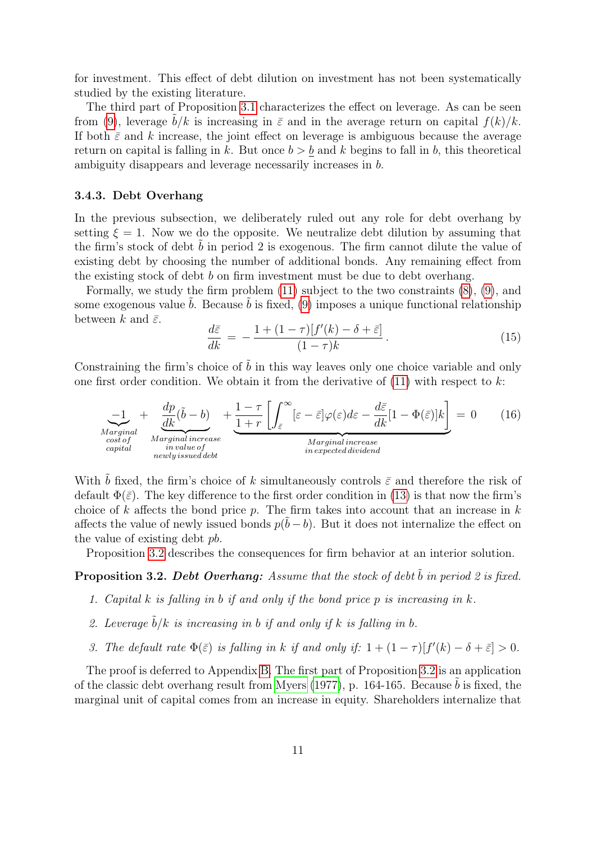for investment. This effect of debt dilution on investment has not been systematically studied by the existing literature.

The third part of Proposition [3.1](#page-10-0) characterizes the effect on leverage. As can be seen from [\(9\)](#page-8-1), leverage  $b/k$  is increasing in  $\bar{\varepsilon}$  and in the average return on capital  $f(k)/k$ . If both  $\bar{\varepsilon}$  and k increase, the joint effect on leverage is ambiguous because the average return on capital is falling in k. But once  $b > b$  and k begins to fall in b, this theoretical ambiguity disappears and leverage necessarily increases in b.

#### <span id="page-11-1"></span>3.4.3. Debt Overhang

In the previous subsection, we deliberately ruled out any role for debt overhang by setting  $\xi = 1$ . Now we do the opposite. We neutralize debt dilution by assuming that the firm's stock of debt  $b$  in period  $2$  is exogenous. The firm cannot dilute the value of existing debt by choosing the number of additional bonds. Any remaining effect from the existing stock of debt b on firm investment must be due to debt overhang.

Formally, we study the firm problem [\(11\)](#page-8-2) subject to the two constraints [\(8\)](#page-7-1), [\(9\)](#page-8-1), and some exogenous value  $b$ . Because  $b$  is fixed, [\(9\)](#page-8-1) imposes a unique functional relationship between k and  $\bar{\varepsilon}$ .

<span id="page-11-2"></span>
$$
\frac{d\bar{\varepsilon}}{dk} = -\frac{1 + (1 - \tau)[f'(k) - \delta + \bar{\varepsilon}]}{(1 - \tau)k}.
$$
\n(15)

Constraining the firm's choice of  $\tilde{b}$  in this way leaves only one choice variable and only one first order condition. We obtain it from the derivative of  $(11)$  with respect to k:

$$
\underbrace{-1}_{\substack{Marginal \\ cost of \\ capital}} + \underbrace{\frac{dp}{dk}(\tilde{b} - b)}_{\substack{Marginal increase \\ individual increase}} + \underbrace{1 - \tau}_{1 + r} \left[ \int_{\tilde{\varepsilon}}^{\infty} [\varepsilon - \bar{\varepsilon}] \varphi(\varepsilon) d\varepsilon - \frac{d\bar{\varepsilon}}{dk} [1 - \Phi(\bar{\varepsilon})] k \right] }_{\substack{Marginal increase \\ marginal increase \\ in expected dividend}} = 0 \qquad (16)
$$

With  $\tilde{b}$  fixed, the firm's choice of k simultaneously controls  $\bar{\varepsilon}$  and therefore the risk of default  $\Phi(\bar{\varepsilon})$ . The key difference to the first order condition in [\(13\)](#page-9-3) is that now the firm's choice of k affects the bond price p. The firm takes into account that an increase in  $k$ affects the value of newly issued bonds  $p(\tilde{b} - b)$ . But it does not internalize the effect on the value of existing debt pb.

Proposition [3.2](#page-11-0) describes the consequences for firm behavior at an interior solution.

## <span id="page-11-0"></span>**Proposition 3.2. Debt Overhang:** Assume that the stock of debt  $\tilde{b}$  in period 2 is fixed.

- 1. Capital  $k$  is falling in  $b$  if and only if the bond price  $p$  is increasing in  $k$ .
- 2. Leverage  $b/k$  is increasing in b if and only if k is falling in b.
- 3. The default rate  $\Phi(\bar{\varepsilon})$  is falling in k if and only if:  $1 + (1 \tau)[f'(k) \delta + \bar{\varepsilon}] > 0$ .

The proof is deferred to Appendix [B.](#page-39-1) The first part of Proposition [3.2](#page-11-0) is an application of the classic debt overhang result from [Myers](#page-37-0)  $(1977)$ , p. 164-165. Because b is fixed, the marginal unit of capital comes from an increase in equity. Shareholders internalize that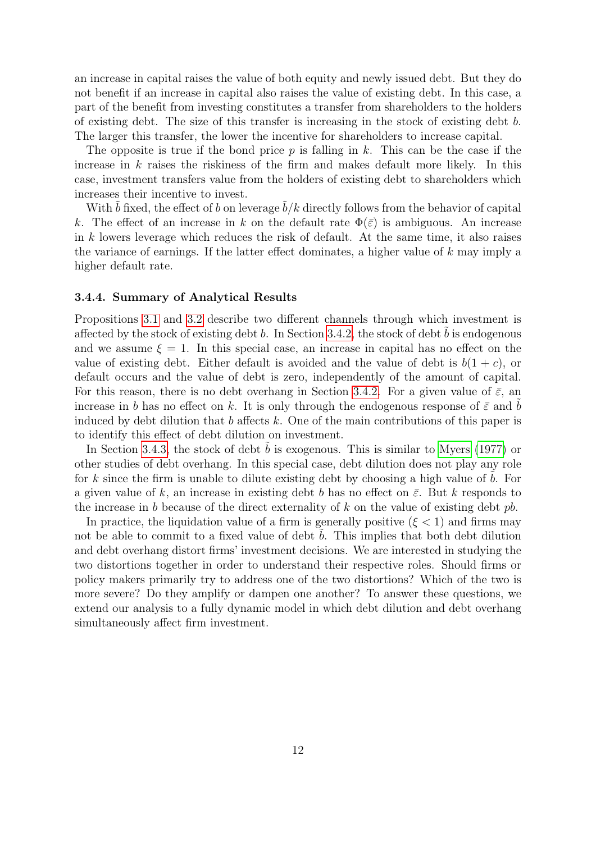an increase in capital raises the value of both equity and newly issued debt. But they do not benefit if an increase in capital also raises the value of existing debt. In this case, a part of the benefit from investing constitutes a transfer from shareholders to the holders of existing debt. The size of this transfer is increasing in the stock of existing debt b. The larger this transfer, the lower the incentive for shareholders to increase capital.

The opposite is true if the bond price  $p$  is falling in  $k$ . This can be the case if the increase in  $k$  raises the riskiness of the firm and makes default more likely. In this case, investment transfers value from the holders of existing debt to shareholders which increases their incentive to invest.

With  $b$  fixed, the effect of  $b$  on leverage  $b/k$  directly follows from the behavior of capital k. The effect of an increase in k on the default rate  $\Phi(\bar{\varepsilon})$  is ambiguous. An increase in  $k$  lowers leverage which reduces the risk of default. At the same time, it also raises the variance of earnings. If the latter effect dominates, a higher value of  $k$  may imply a higher default rate.

### 3.4.4. Summary of Analytical Results

Propositions [3.1](#page-10-0) and [3.2](#page-11-0) describe two different channels through which investment is affected by the stock of existing debt  $b$ . In Section [3.4.2,](#page-9-4) the stock of debt  $b$  is endogenous and we assume  $\xi = 1$ . In this special case, an increase in capital has no effect on the value of existing debt. Either default is avoided and the value of debt is  $b(1+c)$ , or default occurs and the value of debt is zero, independently of the amount of capital. For this reason, there is no debt overhang in Section [3.4.2.](#page-9-4) For a given value of  $\bar{\varepsilon}$ , an increase in b has no effect on k. It is only through the endogenous response of  $\bar{\varepsilon}$  and b induced by debt dilution that b affects  $k$ . One of the main contributions of this paper is to identify this effect of debt dilution on investment.

In Section [3.4.3,](#page-11-1) the stock of debt  $b$  is exogenous. This is similar to [Myers](#page-37-0) [\(1977\)](#page-37-0) or other studies of debt overhang. In this special case, debt dilution does not play any role for k since the firm is unable to dilute existing debt by choosing a high value of  $b$ . For a given value of k, an increase in existing debt b has no effect on  $\bar{\varepsilon}$ . But k responds to the increase in b because of the direct externality of  $k$  on the value of existing debt  $pb$ .

In practice, the liquidation value of a firm is generally positive  $(\xi < 1)$  and firms may not be able to commit to a fixed value of debt b. This implies that both debt dilution and debt overhang distort firms' investment decisions. We are interested in studying the two distortions together in order to understand their respective roles. Should firms or policy makers primarily try to address one of the two distortions? Which of the two is more severe? Do they amplify or dampen one another? To answer these questions, we extend our analysis to a fully dynamic model in which debt dilution and debt overhang simultaneously affect firm investment.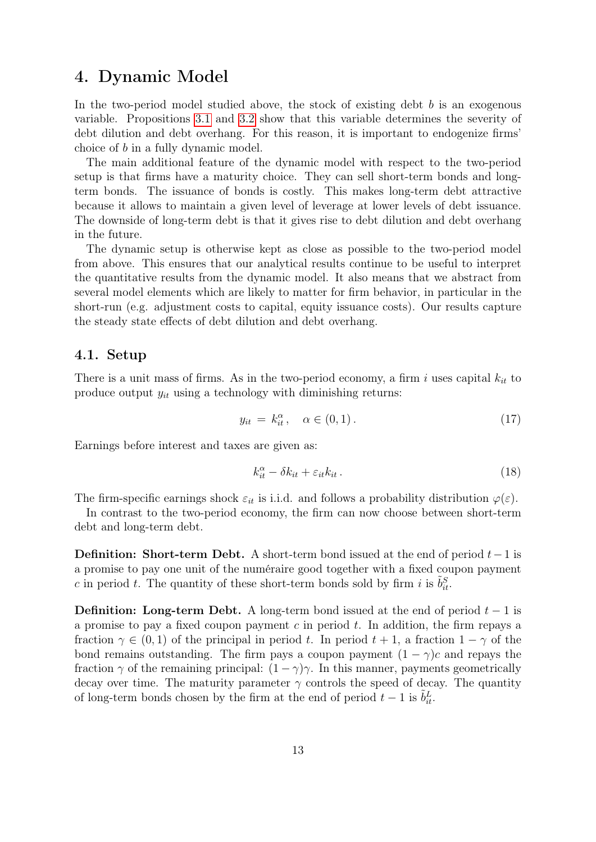## <span id="page-13-0"></span>4. Dynamic Model

In the two-period model studied above, the stock of existing debt  $b$  is an exogenous variable. Propositions [3.1](#page-10-0) and [3.2](#page-11-0) show that this variable determines the severity of debt dilution and debt overhang. For this reason, it is important to endogenize firms' choice of b in a fully dynamic model.

The main additional feature of the dynamic model with respect to the two-period setup is that firms have a maturity choice. They can sell short-term bonds and longterm bonds. The issuance of bonds is costly. This makes long-term debt attractive because it allows to maintain a given level of leverage at lower levels of debt issuance. The downside of long-term debt is that it gives rise to debt dilution and debt overhang in the future.

The dynamic setup is otherwise kept as close as possible to the two-period model from above. This ensures that our analytical results continue to be useful to interpret the quantitative results from the dynamic model. It also means that we abstract from several model elements which are likely to matter for firm behavior, in particular in the short-run (e.g. adjustment costs to capital, equity issuance costs). Our results capture the steady state effects of debt dilution and debt overhang.

### 4.1. Setup

There is a unit mass of firms. As in the two-period economy, a firm i uses capital  $k_{it}$  to produce output  $y_{it}$  using a technology with diminishing returns:

$$
y_{it} = k_{it}^{\alpha}, \quad \alpha \in (0, 1). \tag{17}
$$

Earnings before interest and taxes are given as:

$$
k_{it}^{\alpha} - \delta k_{it} + \varepsilon_{it} k_{it} \,. \tag{18}
$$

The firm-specific earnings shock  $\varepsilon_{it}$  is i.i.d. and follows a probability distribution  $\varphi(\varepsilon)$ .

In contrast to the two-period economy, the firm can now choose between short-term debt and long-term debt.

**Definition: Short-term Debt.** A short-term bond issued at the end of period  $t-1$  is a promise to pay one unit of the numéraire good together with a fixed coupon payment c in period t. The quantity of these short-term bonds sold by firm i is  $\tilde{b}_{it}^S$ .

**Definition:** Long-term Debt. A long-term bond issued at the end of period  $t - 1$  is a promise to pay a fixed coupon payment  $c$  in period  $t$ . In addition, the firm repays a fraction  $\gamma \in (0,1)$  of the principal in period t. In period  $t + 1$ , a fraction  $1 - \gamma$  of the bond remains outstanding. The firm pays a coupon payment  $(1 - \gamma)c$  and repays the fraction  $\gamma$  of the remaining principal:  $(1 - \gamma)\gamma$ . In this manner, payments geometrically decay over time. The maturity parameter  $\gamma$  controls the speed of decay. The quantity of long-term bonds chosen by the firm at the end of period  $t - 1$  is  $\tilde{b}_{it}^L$ .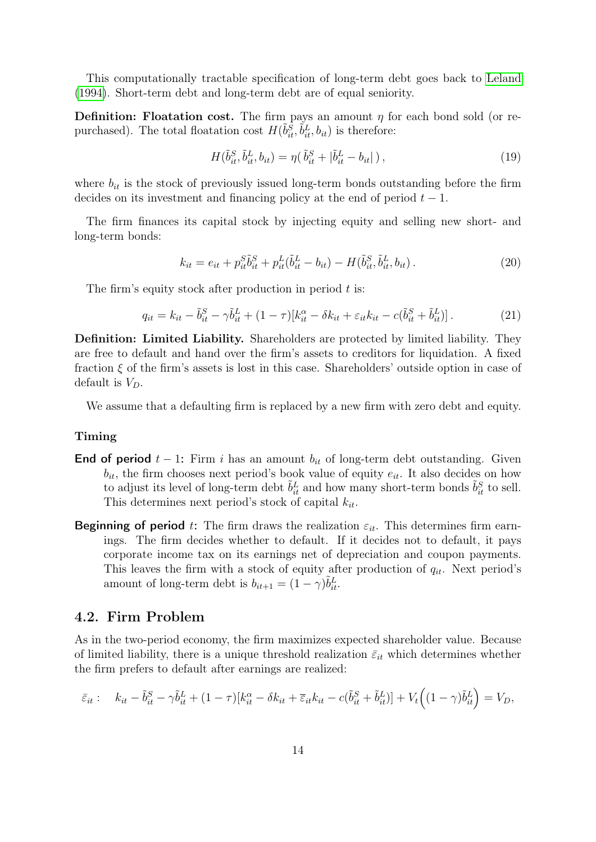This computationally tractable specification of long-term debt goes back to [Leland](#page-37-13) [\(1994\)](#page-37-13). Short-term debt and long-term debt are of equal seniority.

**Definition:** Floatation cost. The firm pays an amount  $\eta$  for each bond sold (or repurchased). The total floatation cost  $H(\tilde{b}_{it}^{\bar{S}}, \tilde{b}_{it}^L, b_{it})$  is therefore:

$$
H(\tilde{b}_{it}^{S}, \tilde{b}_{it}^{L}, b_{it}) = \eta(\tilde{b}_{it}^{S} + |\tilde{b}_{it}^{L} - b_{it}|), \qquad (19)
$$

where  $b_{it}$  is the stock of previously issued long-term bonds outstanding before the firm decides on its investment and financing policy at the end of period  $t - 1$ .

The firm finances its capital stock by injecting equity and selling new short- and long-term bonds:

$$
k_{it} = e_{it} + p_{it}^{S} \tilde{b}_{it}^{S} + p_{it}^{L} (\tilde{b}_{it}^{L} - b_{it}) - H(\tilde{b}_{it}^{S}, \tilde{b}_{it}^{L}, b_{it}). \qquad (20)
$$

The firm's equity stock after production in period  $t$  is:

$$
q_{it} = k_{it} - \tilde{b}_{it}^S - \gamma \tilde{b}_{it}^L + (1 - \tau)[k_{it}^\alpha - \delta k_{it} + \varepsilon_{it} k_{it} - c(\tilde{b}_{it}^S + \tilde{b}_{it}^L)].
$$
\n(21)

Definition: Limited Liability. Shareholders are protected by limited liability. They are free to default and hand over the firm's assets to creditors for liquidation. A fixed fraction  $\xi$  of the firm's assets is lost in this case. Shareholders' outside option in case of default is  $V_D$ .

We assume that a defaulting firm is replaced by a new firm with zero debt and equity.

#### Timing

- End of period  $t 1$ : Firm i has an amount  $b_{it}$  of long-term debt outstanding. Given  $b_{it}$ , the firm chooses next period's book value of equity  $e_{it}$ . It also decides on how to adjust its level of long-term debt  $\tilde{b}_{it}^L$  and how many short-term bonds  $\tilde{b}_{it}^S$  to sell. This determines next period's stock of capital  $k_{it}$ .
- **Beginning of period** t: The firm draws the realization  $\varepsilon_{it}$ . This determines firm earnings. The firm decides whether to default. If it decides not to default, it pays corporate income tax on its earnings net of depreciation and coupon payments. This leaves the firm with a stock of equity after production of  $q_{it}$ . Next period's amount of long-term debt is  $b_{it+1} = (1 - \gamma)\tilde{b}_{it}^L$ .

### 4.2. Firm Problem

As in the two-period economy, the firm maximizes expected shareholder value. Because of limited liability, there is a unique threshold realization  $\bar{\varepsilon}_{it}$  which determines whether the firm prefers to default after earnings are realized:

$$
\bar{\varepsilon}_{it}: \quad k_{it} - \tilde{b}_{it}^{S} - \gamma \tilde{b}_{it}^{L} + (1 - \tau)[k_{it}^{\alpha} - \delta k_{it} + \bar{\varepsilon}_{it} k_{it} - c(\tilde{b}_{it}^{S} + \tilde{b}_{it}^{L})] + V_t((1 - \gamma)\tilde{b}_{it}^{L}) = V_D,
$$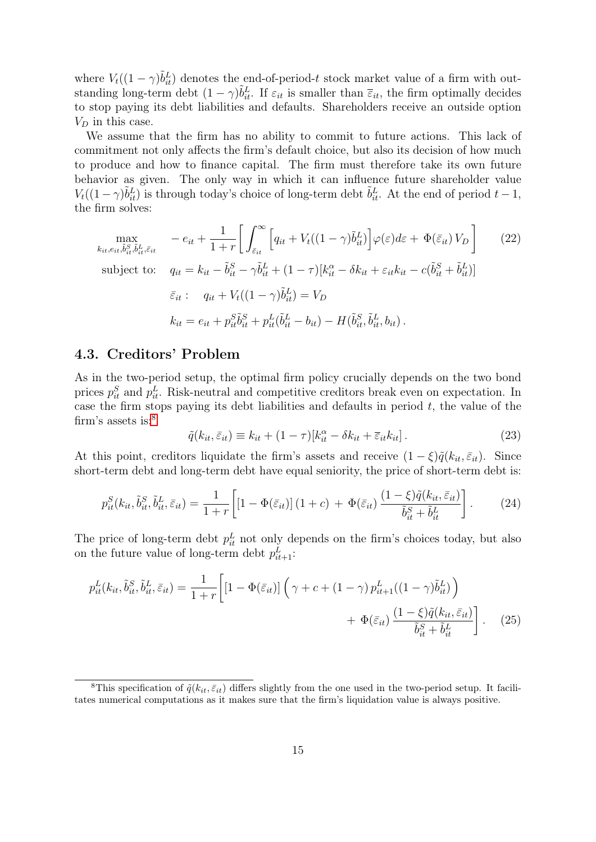where  $V_t((1 - \gamma)\tilde{b}_{it}^L)$  denotes the end-of-period-t stock market value of a firm with outstanding long-term debt  $(1 - \gamma)\tilde{b}_{it}^L$ . If  $\varepsilon_{it}$  is smaller than  $\bar{\varepsilon}_{it}$ , the firm optimally decides to stop paying its debt liabilities and defaults. Shareholders receive an outside option  $V_D$  in this case.

We assume that the firm has no ability to commit to future actions. This lack of commitment not only affects the firm's default choice, but also its decision of how much to produce and how to finance capital. The firm must therefore take its own future behavior as given. The only way in which it can influence future shareholder value  $V_t((1-\gamma)\tilde{b}_{it}^L)$  is through today's choice of long-term debt  $\tilde{b}_{it}^L$ . At the end of period  $t-1$ , the firm solves:

$$
\max_{k_{it}, e_{it}, \tilde{b}_{it}^S, \tilde{b}_{it}^L, \tilde{\epsilon}_{it}} \quad -e_{it} + \frac{1}{1+r} \bigg[ \int_{\tilde{\epsilon}_{it}}^{\infty} \bigg[ q_{it} + V_t((1-\gamma)\tilde{b}_{it}^L) \bigg] \varphi(\varepsilon) d\varepsilon + \Phi(\tilde{\epsilon}_{it}) V_D \bigg] \tag{22}
$$
\n
$$
\text{subject to:} \quad q_{it} = k_{it} - \tilde{b}_{it}^S - \gamma \tilde{b}_{it}^L + (1-\tau)[k_{it}^\alpha - \delta k_{it} + \varepsilon_{it} k_{it} - c(\tilde{b}_{it}^S + \tilde{b}_{it}^L)]
$$
\n
$$
\tilde{\epsilon}_{it} : \quad q_{it} + V_t((1-\gamma)\tilde{b}_{it}^L) = V_D
$$
\n
$$
k_{it} = e_{it} + p_{it}^S \tilde{b}_{it}^S + p_{it}^L(\tilde{b}_{it}^L - b_{it}) - H(\tilde{b}_{it}^S, \tilde{b}_{it}^L, b_{it}).
$$

### 4.3. Creditors' Problem

As in the two-period setup, the optimal firm policy crucially depends on the two bond prices  $p_{it}^S$  and  $p_{it}^L$ . Risk-neutral and competitive creditors break even on expectation. In case the firm stops paying its debt liabilities and defaults in period  $t$ , the value of the firm's assets is:<sup>[8](#page-15-0)</sup>

<span id="page-15-3"></span><span id="page-15-2"></span><span id="page-15-1"></span>
$$
\tilde{q}(k_{it}, \bar{\varepsilon}_{it}) \equiv k_{it} + (1 - \tau)[k_{it}^{\alpha} - \delta k_{it} + \bar{\varepsilon}_{it} k_{it}]. \tag{23}
$$

At this point, creditors liquidate the firm's assets and receive  $(1 - \xi)\tilde{q}(k_{it}, \bar{\varepsilon}_{it})$ . Since short-term debt and long-term debt have equal seniority, the price of short-term debt is:

$$
p_{it}^S(k_{it}, \tilde{b}_{it}^S, \tilde{b}_{it}^L, \bar{\varepsilon}_{it}) = \frac{1}{1+r} \left[ \left[ 1 - \Phi(\bar{\varepsilon}_{it}) \right] (1+c) + \Phi(\bar{\varepsilon}_{it}) \frac{(1-\xi)\tilde{q}(k_{it}, \bar{\varepsilon}_{it})}{\tilde{b}_{it}^S + \tilde{b}_{it}^L} \right].
$$
 (24)

The price of long-term debt  $p_{it}^L$  not only depends on the firm's choices today, but also on the future value of long-term debt  $p_{it+1}^L$ :

$$
p_{it}^{L}(k_{it}, \tilde{b}_{it}^{S}, \tilde{b}_{it}^{L}, \bar{\varepsilon}_{it}) = \frac{1}{1+r} \left[ \left[ 1 - \Phi(\bar{\varepsilon}_{it}) \right] \left( \gamma + c + (1-\gamma) p_{it+1}^{L} ((1-\gamma) \tilde{b}_{it}^{L}) \right) + \Phi(\bar{\varepsilon}_{it}) \frac{(1-\xi)\tilde{q}(k_{it}, \bar{\varepsilon}_{it})}{\tilde{b}_{it}^{S} + \tilde{b}_{it}^{L}} \right].
$$
 (25)

<span id="page-15-0"></span><sup>&</sup>lt;sup>8</sup>This specification of  $\tilde{q}(k_{it}, \bar{\varepsilon}_{it})$  differs slightly from the one used in the two-period setup. It facilitates numerical computations as it makes sure that the firm's liquidation value is always positive.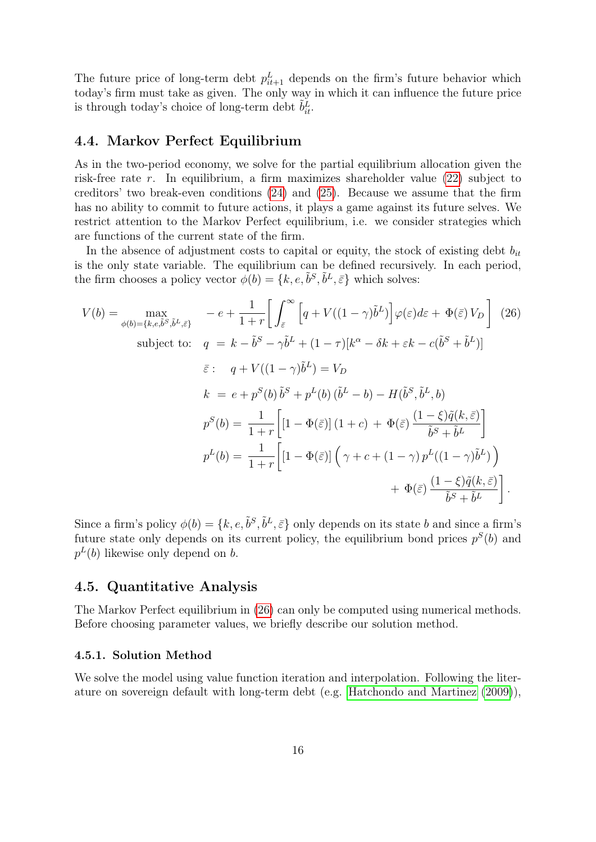The future price of long-term debt  $p_{it+1}^L$  depends on the firm's future behavior which today's firm must take as given. The only way in which it can influence the future price is through today's choice of long-term debt  $\tilde{b}^L_{it}$ .

## 4.4. Markov Perfect Equilibrium

As in the two-period economy, we solve for the partial equilibrium allocation given the risk-free rate r. In equilibrium, a firm maximizes shareholder value  $(22)$  subject to creditors' two break-even conditions [\(24\)](#page-15-2) and [\(25\)](#page-15-3). Because we assume that the firm has no ability to commit to future actions, it plays a game against its future selves. We restrict attention to the Markov Perfect equilibrium, i.e. we consider strategies which are functions of the current state of the firm.

In the absence of adjustment costs to capital or equity, the stock of existing debt  $b_{it}$ is the only state variable. The equilibrium can be defined recursively. In each period, the firm chooses a policy vector  $\phi(b) = \{k, e, \tilde{b}^S, \tilde{b}^L, \bar{\varepsilon}\}\$  which solves:

<span id="page-16-0"></span>
$$
V(b) = \max_{\phi(b) = \{k, e, \tilde{b}^S, \tilde{b}^L, \tilde{\varepsilon}\}} \quad -e + \frac{1}{1+r} \bigg[ \int_{\tilde{\varepsilon}}^{\infty} \left[ q + V((1-\gamma)\tilde{b}^L) \right] \varphi(\varepsilon) d\varepsilon + \Phi(\tilde{\varepsilon}) V_D \bigg] \tag{26}
$$
  
\nsubject to: 
$$
q = k - \tilde{b}^S - \gamma \tilde{b}^L + (1-\tau)[k^{\alpha} - \delta k + \varepsilon k - c(\tilde{b}^S + \tilde{b}^L)]
$$
  
\n
$$
\tilde{\varepsilon} : q + V((1-\gamma)\tilde{b}^L) = V_D
$$
  
\n
$$
k = e + p^S(b)\tilde{b}^S + p^L(b)\tilde{(b}^L - b) - H(\tilde{b}^S, \tilde{b}^L, b)
$$
  
\n
$$
p^S(b) = \frac{1}{1+r} \bigg[ [1 - \Phi(\tilde{\varepsilon})] (1+c) + \Phi(\tilde{\varepsilon}) \frac{(1-\xi)\tilde{q}(k, \tilde{\varepsilon})}{\tilde{b}^S + \tilde{b}^L} \bigg]
$$
  
\n
$$
p^L(b) = \frac{1}{1+r} \bigg[ [1 - \Phi(\tilde{\varepsilon})] \left( \gamma + c + (1-\gamma)p^L((1-\gamma)\tilde{b}^L) \right) + \Phi(\tilde{\varepsilon}) \frac{(1-\xi)\tilde{q}(k, \tilde{\varepsilon})}{\tilde{b}^S + \tilde{b}^L} \bigg].
$$

Since a firm's policy  $\phi(b) = \{k, e, \tilde{b}^S, \tilde{b}^L, \bar{\varepsilon}\}\$ only depends on its state b and since a firm's future state only depends on its current policy, the equilibrium bond prices  $p^{S}(b)$  and  $p^L(b)$  likewise only depend on b.

## 4.5. Quantitative Analysis

The Markov Perfect equilibrium in [\(26\)](#page-16-0) can only be computed using numerical methods. Before choosing parameter values, we briefly describe our solution method.

## 4.5.1. Solution Method

We solve the model using value function iteration and interpolation. Following the literature on sovereign default with long-term debt (e.g. [Hatchondo and Martinez](#page-37-11) [\(2009\)](#page-37-11)),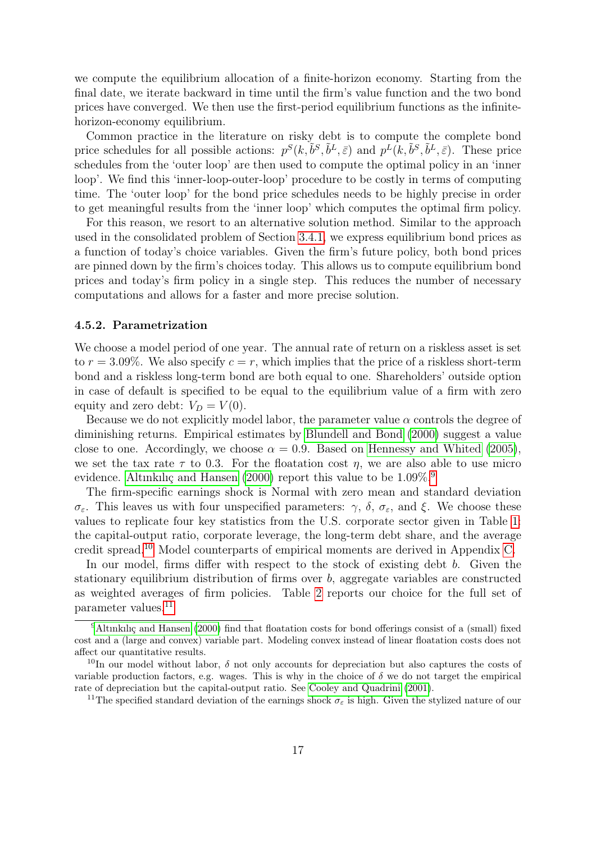we compute the equilibrium allocation of a finite-horizon economy. Starting from the final date, we iterate backward in time until the firm's value function and the two bond prices have converged. We then use the first-period equilibrium functions as the infinitehorizon-economy equilibrium.

Common practice in the literature on risky debt is to compute the complete bond price schedules for all possible actions:  $p^S(k, \tilde{b}^S, \tilde{b}^L, \bar{\varepsilon})$  and  $p^L(k, \tilde{b}^S, \tilde{b}^L, \bar{\varepsilon})$ . These price schedules from the 'outer loop' are then used to compute the optimal policy in an 'inner loop'. We find this 'inner-loop-outer-loop' procedure to be costly in terms of computing time. The 'outer loop' for the bond price schedules needs to be highly precise in order to get meaningful results from the 'inner loop' which computes the optimal firm policy.

For this reason, we resort to an alternative solution method. Similar to the approach used in the consolidated problem of Section [3.4.1,](#page-8-4) we express equilibrium bond prices as a function of today's choice variables. Given the firm's future policy, both bond prices are pinned down by the firm's choices today. This allows us to compute equilibrium bond prices and today's firm policy in a single step. This reduces the number of necessary computations and allows for a faster and more precise solution.

#### 4.5.2. Parametrization

We choose a model period of one year. The annual rate of return on a riskless asset is set to  $r = 3.09\%$ . We also specify  $c = r$ , which implies that the price of a riskless short-term bond and a riskless long-term bond are both equal to one. Shareholders' outside option in case of default is specified to be equal to the equilibrium value of a firm with zero equity and zero debt:  $V_D = V(0)$ .

Because we do not explicitly model labor, the parameter value  $\alpha$  controls the degree of diminishing returns. Empirical estimates by [Blundell and Bond](#page-35-10) [\(2000\)](#page-35-10) suggest a value close to one. Accordingly, we choose  $\alpha = 0.9$ . Based on [Hennessy and Whited](#page-37-4) [\(2005\)](#page-37-4), we set the tax rate  $\tau$  to 0.3. For the floatation cost  $\eta$ , we are also able to use micro evidence. [Altınkılıç and Hansen](#page-35-11) [\(2000\)](#page-35-11) report this value to be  $1.09\%$  $1.09\%$  $1.09\%$ <sup>9</sup>

The firm-specific earnings shock is Normal with zero mean and standard deviation  $\sigma_{\varepsilon}$ . This leaves us with four unspecified parameters:  $\gamma$ ,  $\delta$ ,  $\sigma_{\varepsilon}$ , and  $\xi$ . We choose these values to replicate four key statistics from the U.S. corporate sector given in Table [1:](#page-18-0) the capital-output ratio, corporate leverage, the long-term debt share, and the average credit spread.[10](#page-17-1) Model counterparts of empirical moments are derived in Appendix [C.](#page-41-0)

In our model, firms differ with respect to the stock of existing debt  $b$ . Given the stationary equilibrium distribution of firms over  $b$ , aggregate variables are constructed as weighted averages of firm policies. Table [2](#page-18-1) reports our choice for the full set of parameter values.[11](#page-17-2)

<span id="page-17-0"></span><sup>&</sup>lt;sup>9</sup>Altınkılıc and Hansen [\(2000\)](#page-35-11) find that floatation costs for bond offerings consist of a (small) fixed cost and a (large and convex) variable part. Modeling convex instead of linear floatation costs does not affect our quantitative results.

<span id="page-17-1"></span><sup>&</sup>lt;sup>10</sup>In our model without labor,  $\delta$  not only accounts for depreciation but also captures the costs of variable production factors, e.g. wages. This is why in the choice of  $\delta$  we do not target the empirical rate of depreciation but the capital-output ratio. See [Cooley and Quadrini](#page-36-4) [\(2001\)](#page-36-4).

<span id="page-17-2"></span><sup>&</sup>lt;sup>11</sup>The specified standard deviation of the earnings shock  $\sigma_{\varepsilon}$  is high. Given the stylized nature of our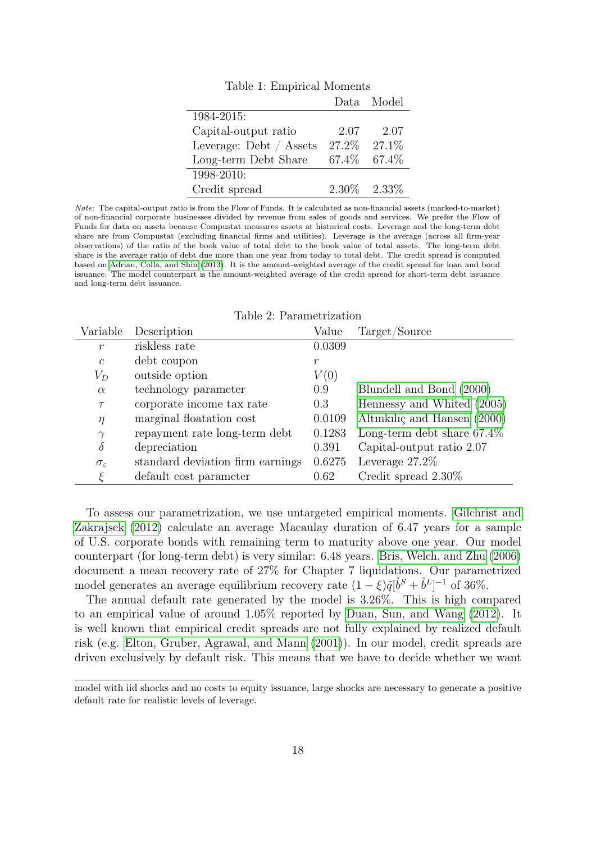<span id="page-18-0"></span>

|                         |        | Data Model        |
|-------------------------|--------|-------------------|
| 1984-2015:              |        |                   |
| Capital-output ratio    | 2.07   | 2.07              |
| Leverage: Debt / Assets | 27.2\% | $27.1\%$          |
| Long-term Debt Share    |        | 67.4\% 67.4\%     |
| 1998-2010:              |        |                   |
| Credit spread           |        | $2.30\%$ $2.33\%$ |

Table 1: Empirical Moments

Note: The capital-output ratio is from the Flow of Funds. It is calculated as non-financial assets (marked-to-market) of non-financial corporate businesses divided by revenue from sales of goods and services. We prefer the Flow of Funds for data on assets because Compustat measures assets at historical costs. Leverage and the long-term debt share are from Compustat (excluding financial firms and utilities). Leverage is the average (across all firm-year observations) of the ratio of the book value of total debt to the book value of total assets. The long-term debt share is the average ratio of debt due more than one year from today to total debt. The credit spread is computed based on [Adrian, Colla, and Shin](#page-35-12) [\(2013\)](#page-35-12). It is the amount-weighted average of the credit spread for loan and bond issuance. The model counterpart is the amount-weighted average of the credit spread for short-term debt issuance and long-term debt issuance.

<span id="page-18-1"></span>

| Variable               | Description                      | Value  | Target/Source                 |
|------------------------|----------------------------------|--------|-------------------------------|
| $\mathcal{r}$          | riskless rate                    | 0.0309 |                               |
| $\mathcal{C}$          | debt coupon                      | $\,r$  |                               |
| $V_D$                  | outside option                   | V(0)   |                               |
| $\alpha$               | technology parameter             | 0.9    | Blundell and Bond (2000)      |
| $\tau$                 | corporate income tax rate        | 0.3    | Hennessy and Whited (2005)    |
| $\eta$                 | marginal floatation cost         | 0.0109 | Altınkılıç and Hansen (2000)  |
| $\gamma$               | repayment rate long-term debt    | 0.1283 | Long-term debt share $67.4\%$ |
| $\delta$               | depreciation                     | 0.391  | Capital-output ratio 2.07     |
| $\sigma_{\varepsilon}$ | standard deviation firm earnings | 0.6275 | Leverage $27.2\%$             |
| ۶                      | default cost parameter           | 0.62   | Credit spread $2.30\%$        |

Table 2: Parametrization

To assess our parametrization, we use untargeted empirical moments. [Gilchrist and](#page-36-10) [Zakrajsek](#page-36-10) [\(2012\)](#page-36-10) calculate an average Macaulay duration of 6.47 years for a sample of U.S. corporate bonds with remaining term to maturity above one year. Our model counterpart (for long-term debt) is very similar: 6.48 years. [Bris, Welch, and Zhu](#page-35-13) [\(2006\)](#page-35-13) document a mean recovery rate of 27% for Chapter 7 liquidations. Our parametrized model generates an average equilibrium recovery rate  $(1 - \xi)\tilde{q}[\tilde{b}^S + \tilde{b}^L]^{-1}$  of 36%.

The annual default rate generated by the model is 3.26%. This is high compared to an empirical value of around 1.05% reported by [Duan, Sun, and Wang](#page-36-11) [\(2012\)](#page-36-11). It is well known that empirical credit spreads are not fully explained by realized default risk (e.g. [Elton, Gruber, Agrawal, and Mann](#page-36-12) [\(2001\)](#page-36-12)). In our model, credit spreads are driven exclusively by default risk. This means that we have to decide whether we want

model with iid shocks and no costs to equity issuance, large shocks are necessary to generate a positive default rate for realistic levels of leverage.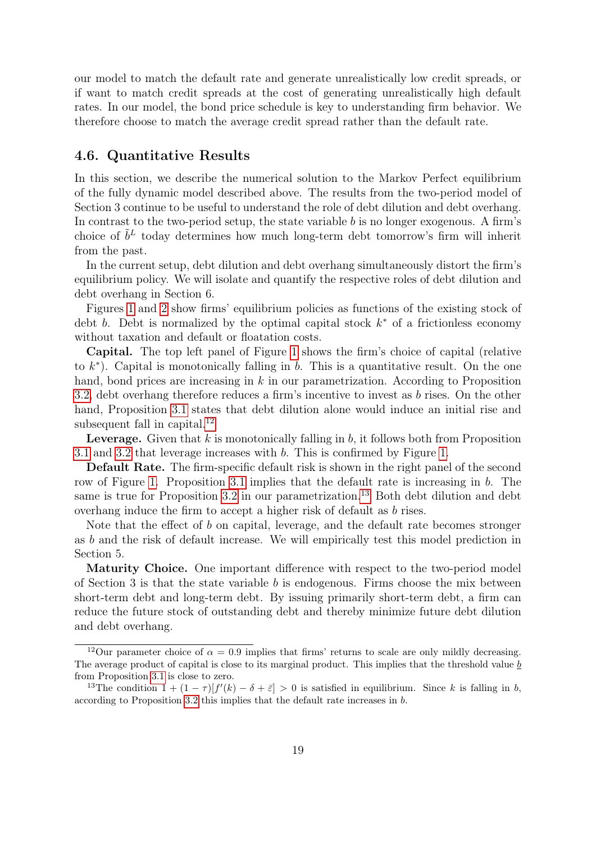our model to match the default rate and generate unrealistically low credit spreads, or if want to match credit spreads at the cost of generating unrealistically high default rates. In our model, the bond price schedule is key to understanding firm behavior. We therefore choose to match the average credit spread rather than the default rate.

## 4.6. Quantitative Results

In this section, we describe the numerical solution to the Markov Perfect equilibrium of the fully dynamic model described above. The results from the two-period model of Section 3 continue to be useful to understand the role of debt dilution and debt overhang. In contrast to the two-period setup, the state variable b is no longer exogenous. A firm's choice of  $\tilde{b}^L$  today determines how much long-term debt tomorrow's firm will inherit from the past.

In the current setup, debt dilution and debt overhang simultaneously distort the firm's equilibrium policy. We will isolate and quantify the respective roles of debt dilution and debt overhang in Section 6.

Figures [1](#page-20-0) and [2](#page-21-0) show firms' equilibrium policies as functions of the existing stock of debt b. Debt is normalized by the optimal capital stock  $k^*$  of a frictionless economy without taxation and default or floatation costs.

Capital. The top left panel of Figure [1](#page-20-0) shows the firm's choice of capital (relative to  $k^*$ ). Capital is monotonically falling in b. This is a quantitative result. On the one hand, bond prices are increasing in  $k$  in our parametrization. According to Proposition [3.2,](#page-11-0) debt overhang therefore reduces a firm's incentive to invest as b rises. On the other hand, Proposition [3.1](#page-10-0) states that debt dilution alone would induce an initial rise and subsequent fall in capital.<sup>[12](#page-19-0)</sup>

**Leverage.** Given that  $k$  is monotonically falling in  $b$ , it follows both from Proposition [3.1](#page-10-0) and [3.2](#page-11-0) that leverage increases with b. This is confirmed by Figure [1.](#page-20-0)

Default Rate. The firm-specific default risk is shown in the right panel of the second row of Figure [1.](#page-20-0) Proposition [3.1](#page-10-0) implies that the default rate is increasing in b. The same is true for Proposition  $3.2$  in our parametrization.<sup>[13](#page-19-1)</sup> Both debt dilution and debt overhang induce the firm to accept a higher risk of default as b rises.

Note that the effect of b on capital, leverage, and the default rate becomes stronger as b and the risk of default increase. We will empirically test this model prediction in Section 5.

Maturity Choice. One important difference with respect to the two-period model of Section 3 is that the state variable  $b$  is endogenous. Firms choose the mix between short-term debt and long-term debt. By issuing primarily short-term debt, a firm can reduce the future stock of outstanding debt and thereby minimize future debt dilution and debt overhang.

<span id="page-19-0"></span><sup>&</sup>lt;sup>12</sup>Our parameter choice of  $\alpha = 0.9$  implies that firms' returns to scale are only mildly decreasing. The average product of capital is close to its marginal product. This implies that the threshold value  $\underline{b}$ from Proposition [3.1](#page-10-0) is close to zero.

<span id="page-19-1"></span><sup>&</sup>lt;sup>13</sup>The condition  $1 + (1 - \tau)[f'(k) - \delta + \bar{\varepsilon}] > 0$  is satisfied in equilibrium. Since k is falling in b, according to Proposition [3.2](#page-11-0) this implies that the default rate increases in b.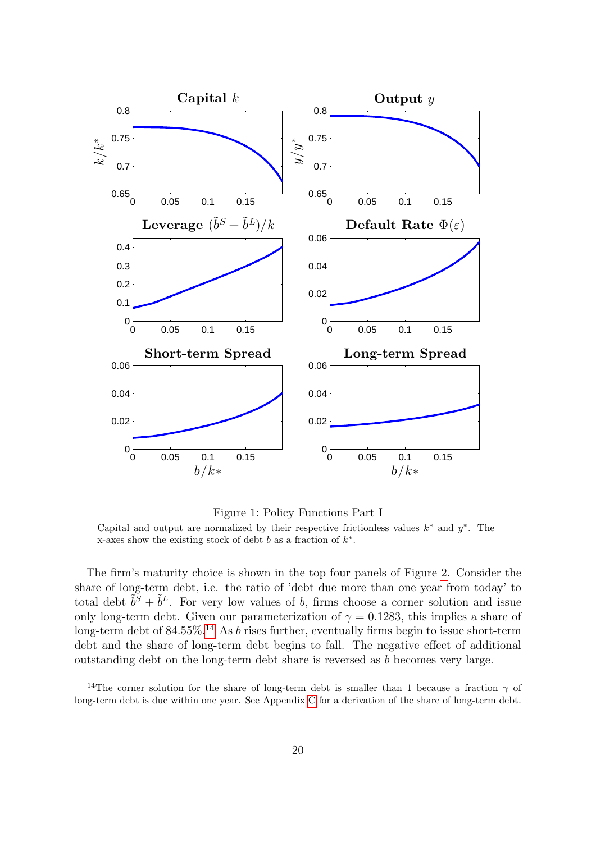<span id="page-20-0"></span>

Figure 1: Policy Functions Part I Capital and output are normalized by their respective frictionless values  $k^*$  and  $y^*$ . The x-axes show the existing stock of debt b as a fraction of  $k^*$ .

The firm's maturity choice is shown in the top four panels of Figure [2.](#page-21-0) Consider the share of long-term debt, i.e. the ratio of 'debt due more than one year from today' to total debt  $\tilde{b}^S + \tilde{b}^L$ . For very low values of b, firms choose a corner solution and issue only long-term debt. Given our parameterization of  $\gamma = 0.1283$ , this implies a share of long-term debt of 84.55%.<sup>[14](#page-20-1)</sup> As *b* rises further, eventually firms begin to issue short-term debt and the share of long-term debt begins to fall. The negative effect of additional outstanding debt on the long-term debt share is reversed as b becomes very large.

<span id="page-20-1"></span><sup>&</sup>lt;sup>14</sup>The corner solution for the share of long-term debt is smaller than 1 because a fraction  $\gamma$  of long-term debt is due within one year. See Appendix [C](#page-41-0) for a derivation of the share of long-term debt.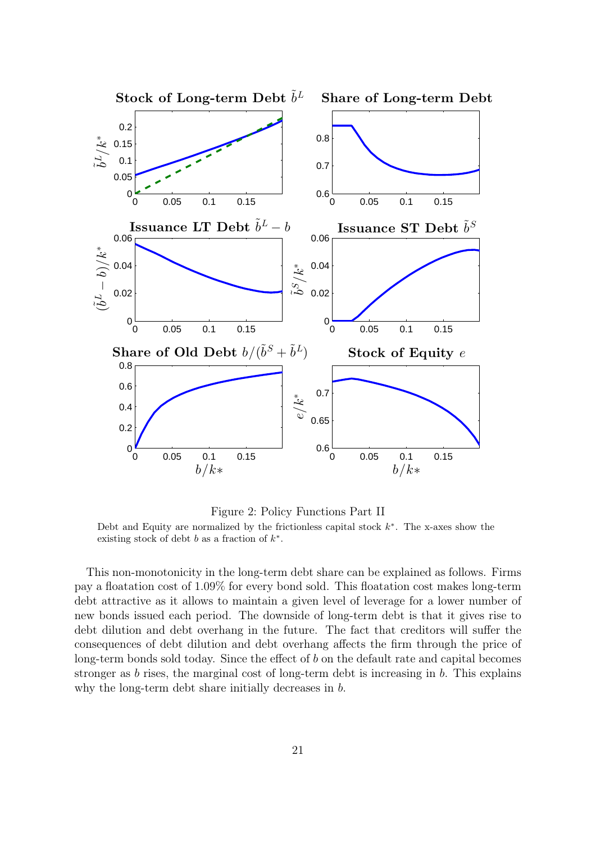<span id="page-21-0"></span>

Figure 2: Policy Functions Part II Debt and Equity are normalized by the frictionless capital stock  $k^*$ . The x-axes show the existing stock of debt  $b$  as a fraction of  $k^*$ .

This non-monotonicity in the long-term debt share can be explained as follows. Firms pay a floatation cost of 1.09% for every bond sold. This floatation cost makes long-term debt attractive as it allows to maintain a given level of leverage for a lower number of new bonds issued each period. The downside of long-term debt is that it gives rise to debt dilution and debt overhang in the future. The fact that creditors will suffer the consequences of debt dilution and debt overhang affects the firm through the price of long-term bonds sold today. Since the effect of  $b$  on the default rate and capital becomes stronger as b rises, the marginal cost of long-term debt is increasing in b. This explains why the long-term debt share initially decreases in b.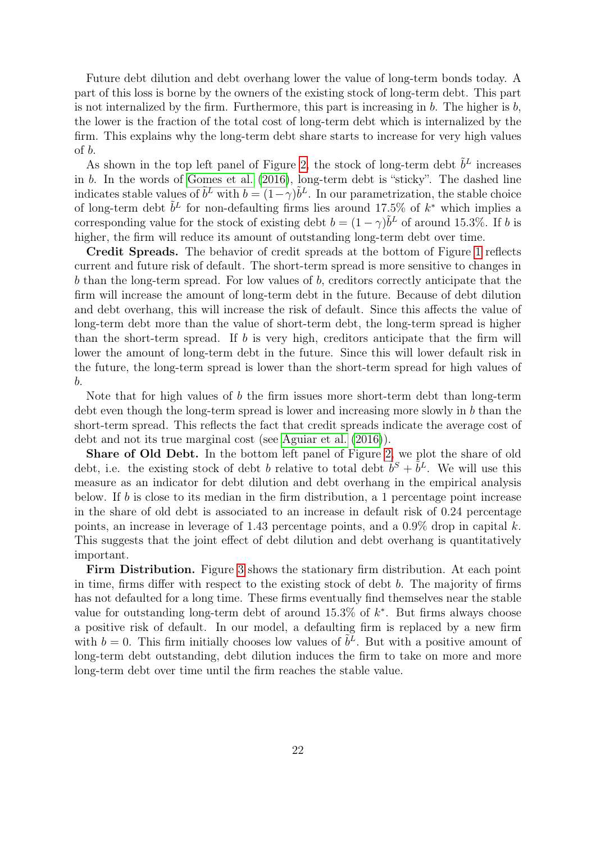Future debt dilution and debt overhang lower the value of long-term bonds today. A part of this loss is borne by the owners of the existing stock of long-term debt. This part is not internalized by the firm. Furthermore, this part is increasing in  $b$ . The higher is  $b$ , the lower is the fraction of the total cost of long-term debt which is internalized by the firm. This explains why the long-term debt share starts to increase for very high values of b.

As shown in the top left panel of Figure [2,](#page-21-0) the stock of long-term debt  $\tilde{b}^L$  increases in b. In the words of [Gomes et al.](#page-36-0) [\(2016\)](#page-36-0), long-term debt is "sticky". The dashed line indicates stable values of  $\tilde{b}^L$  with  $b = (1 - \gamma)\tilde{b}^L$ . In our parametrization, the stable choice of long-term debt  $\tilde{b}^L$  for non-defaulting firms lies around 17.5% of  $k^*$  which implies a corresponding value for the stock of existing debt  $b = (1 - \gamma)\tilde{b}^L$  of around 15.3%. If b is higher, the firm will reduce its amount of outstanding long-term debt over time.

Credit Spreads. The behavior of credit spreads at the bottom of Figure [1](#page-20-0) reflects current and future risk of default. The short-term spread is more sensitive to changes in b than the long-term spread. For low values of b, creditors correctly anticipate that the firm will increase the amount of long-term debt in the future. Because of debt dilution and debt overhang, this will increase the risk of default. Since this affects the value of long-term debt more than the value of short-term debt, the long-term spread is higher than the short-term spread. If  $b$  is very high, creditors anticipate that the firm will lower the amount of long-term debt in the future. Since this will lower default risk in the future, the long-term spread is lower than the short-term spread for high values of b.

Note that for high values of b the firm issues more short-term debt than long-term debt even though the long-term spread is lower and increasing more slowly in b than the short-term spread. This reflects the fact that credit spreads indicate the average cost of debt and not its true marginal cost (see [Aguiar et al.](#page-35-9) [\(2016\)](#page-35-9)).

Share of Old Debt. In the bottom left panel of Figure [2,](#page-21-0) we plot the share of old debt, i.e. the existing stock of debt b relative to total debt  $\tilde{b}^S + \tilde{b}^L$ . We will use this measure as an indicator for debt dilution and debt overhang in the empirical analysis below. If b is close to its median in the firm distribution, a 1 percentage point increase in the share of old debt is associated to an increase in default risk of 0.24 percentage points, an increase in leverage of 1.43 percentage points, and a  $0.9\%$  drop in capital k. This suggests that the joint effect of debt dilution and debt overhang is quantitatively important.

Firm Distribution. Figure [3](#page-23-0) shows the stationary firm distribution. At each point in time, firms differ with respect to the existing stock of debt b. The majority of firms has not defaulted for a long time. These firms eventually find themselves near the stable value for outstanding long-term debt of around  $15.3\%$  of  $k^*$ . But firms always choose a positive risk of default. In our model, a defaulting firm is replaced by a new firm with  $b = 0$ . This firm initially chooses low values of  $\tilde{b}^L$ . But with a positive amount of long-term debt outstanding, debt dilution induces the firm to take on more and more long-term debt over time until the firm reaches the stable value.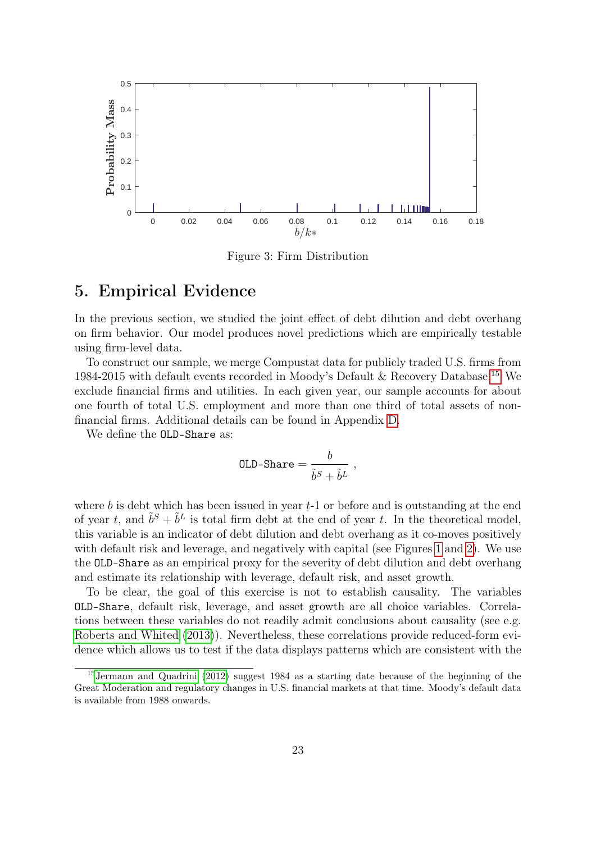<span id="page-23-0"></span>

Figure 3: Firm Distribution

## <span id="page-23-2"></span>5. Empirical Evidence

In the previous section, we studied the joint effect of debt dilution and debt overhang on firm behavior. Our model produces novel predictions which are empirically testable using firm-level data.

To construct our sample, we merge Compustat data for publicly traded U.S. firms from 1984-2015 with default events recorded in Moody's Default & Recovery Database.[15](#page-23-1) We exclude financial firms and utilities. In each given year, our sample accounts for about one fourth of total U.S. employment and more than one third of total assets of nonfinancial firms. Additional details can be found in Appendix [D.](#page-42-0)

We define the OLD-Share as:

$$
\texttt{OLD-Share} = \frac{b}{\tilde{b}^S + \tilde{b}^L} \,\, ,
$$

where b is debt which has been issued in year  $t-1$  or before and is outstanding at the end of year t, and  $\tilde{b}^S + \tilde{b}^L$  is total firm debt at the end of year t. In the theoretical model, this variable is an indicator of debt dilution and debt overhang as it co-moves positively with default risk and leverage, and negatively with capital (see Figures [1](#page-20-0) and [2\)](#page-21-0). We use the OLD-Share as an empirical proxy for the severity of debt dilution and debt overhang and estimate its relationship with leverage, default risk, and asset growth.

To be clear, the goal of this exercise is not to establish causality. The variables OLD-Share, default risk, leverage, and asset growth are all choice variables. Correlations between these variables do not readily admit conclusions about causality (see e.g. [Roberts and Whited](#page-38-6) [\(2013\)](#page-38-6)). Nevertheless, these correlations provide reduced-form evidence which allows us to test if the data displays patterns which are consistent with the

<span id="page-23-1"></span><sup>15</sup>[Jermann and Quadrini](#page-37-14) [\(2012\)](#page-37-14) suggest 1984 as a starting date because of the beginning of the Great Moderation and regulatory changes in U.S. financial markets at that time. Moody's default data is available from 1988 onwards.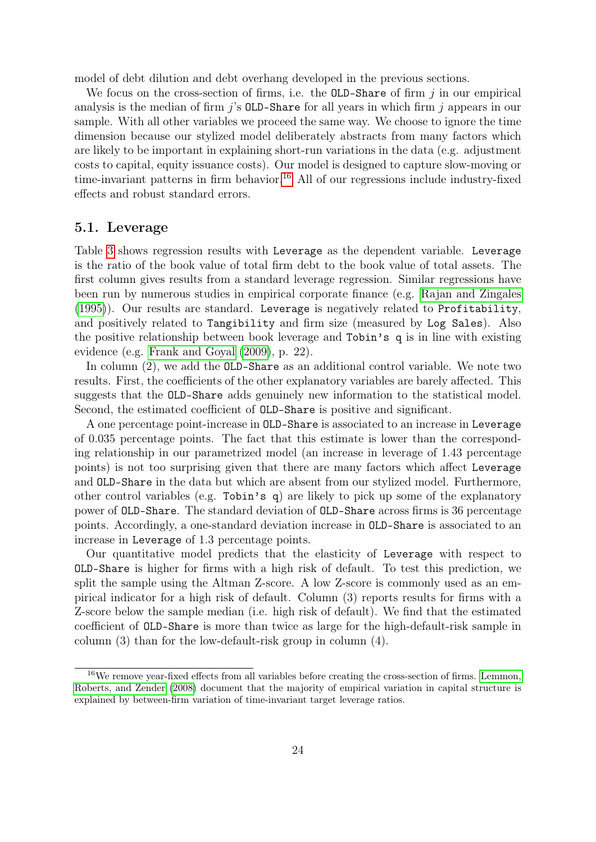model of debt dilution and debt overhang developed in the previous sections.

We focus on the cross-section of firms, i.e. the **OLD-Share** of firm  $j$  in our empirical analysis is the median of firm  $j$ 's OLD-Share for all years in which firm  $j$  appears in our sample. With all other variables we proceed the same way. We choose to ignore the time dimension because our stylized model deliberately abstracts from many factors which are likely to be important in explaining short-run variations in the data (e.g. adjustment costs to capital, equity issuance costs). Our model is designed to capture slow-moving or time-invariant patterns in firm behavior.<sup>[16](#page-24-0)</sup> All of our regressions include industry-fixed effects and robust standard errors.

## 5.1. Leverage

Table [3](#page-25-0) shows regression results with Leverage as the dependent variable. Leverage is the ratio of the book value of total firm debt to the book value of total assets. The first column gives results from a standard leverage regression. Similar regressions have been run by numerous studies in empirical corporate finance (e.g. [Rajan and Zingales](#page-38-7) [\(1995\)](#page-38-7)). Our results are standard. Leverage is negatively related to Profitability, and positively related to Tangibility and firm size (measured by Log Sales). Also the positive relationship between book leverage and Tobin's q is in line with existing evidence (e.g. [Frank and Goyal](#page-36-13) [\(2009\)](#page-36-13), p. 22).

In column (2), we add the OLD-Share as an additional control variable. We note two results. First, the coefficients of the other explanatory variables are barely affected. This suggests that the OLD-Share adds genuinely new information to the statistical model. Second, the estimated coefficient of OLD-Share is positive and significant.

A one percentage point-increase in OLD-Share is associated to an increase in Leverage of 0.035 percentage points. The fact that this estimate is lower than the corresponding relationship in our parametrized model (an increase in leverage of 1.43 percentage points) is not too surprising given that there are many factors which affect Leverage and OLD-Share in the data but which are absent from our stylized model. Furthermore, other control variables (e.g. Tobin's q) are likely to pick up some of the explanatory power of OLD-Share. The standard deviation of OLD-Share across firms is 36 percentage points. Accordingly, a one-standard deviation increase in OLD-Share is associated to an increase in Leverage of 1.3 percentage points.

Our quantitative model predicts that the elasticity of Leverage with respect to OLD-Share is higher for firms with a high risk of default. To test this prediction, we split the sample using the Altman Z-score. A low Z-score is commonly used as an empirical indicator for a high risk of default. Column (3) reports results for firms with a Z-score below the sample median (i.e. high risk of default). We find that the estimated coefficient of OLD-Share is more than twice as large for the high-default-risk sample in column (3) than for the low-default-risk group in column (4).

<span id="page-24-0"></span><sup>&</sup>lt;sup>16</sup>We remove year-fixed effects from all variables before creating the cross-section of firms. [Lemmon,](#page-37-15) [Roberts, and Zender](#page-37-15) [\(2008\)](#page-37-15) document that the majority of empirical variation in capital structure is explained by between-firm variation of time-invariant target leverage ratios.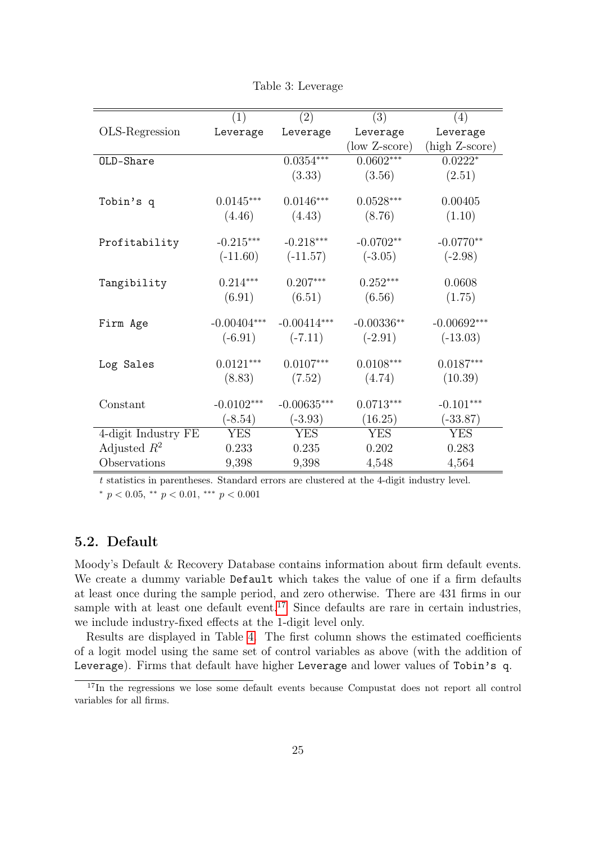<span id="page-25-0"></span>

|                     | (1)           | (2)           | (3)           | (4)            |
|---------------------|---------------|---------------|---------------|----------------|
| OLS-Regression      | Leverage      | Leverage      | Leverage      | Leverage       |
|                     |               |               | (low Z-score) | (high Z-score) |
| OLD-Share           |               | $0.0354***$   | $0.0602***$   | $0.0222*$      |
|                     |               | (3.33)        | (3.56)        | (2.51)         |
|                     |               |               |               |                |
| Tobin's q           | $0.0145***$   | $0.0146***$   | $0.0528***$   | 0.00405        |
|                     | (4.46)        | (4.43)        | (8.76)        | (1.10)         |
| Profitability       | $-0.215***$   | $-0.218***$   | $-0.0702**$   | $-0.0770**$    |
|                     | $(-11.60)$    | $(-11.57)$    | $(-3.05)$     | $(-2.98)$      |
|                     |               |               |               |                |
| Tangibility         | $0.214***$    | $0.207***$    | $0.252***$    | 0.0608         |
|                     | (6.91)        | (6.51)        | (6.56)        | (1.75)         |
|                     |               |               |               |                |
| Firm Age            | $-0.00404***$ | $-0.00414***$ | $-0.00336**$  | $-0.00692***$  |
|                     | $(-6.91)$     | $(-7.11)$     | $(-2.91)$     | $(-13.03)$     |
| Log Sales           | $0.0121***$   | $0.0107***$   | $0.0108***$   | $0.0187***$    |
|                     | (8.83)        | (7.52)        | (4.74)        | (10.39)        |
|                     |               |               |               |                |
| Constant            | $-0.0102***$  | $-0.00635***$ | $0.0713***$   | $-0.101***$    |
|                     | $(-8.54)$     | $(-3.93)$     | (16.25)       | $(-33.87)$     |
| 4-digit Industry FE | <b>YES</b>    | <b>YES</b>    | <b>YES</b>    | <b>YES</b>     |
| Adjusted $R^2$      | 0.233         | 0.235         | 0.202         | 0.283          |
| Observations        | 9,398         | 9,398         | 4,548         | 4,564          |

Table 3: Leverage

t statistics in parentheses. Standard errors are clustered at the 4-digit industry level. \*  $p < 0.05$ , \*\*  $p < 0.01$ , \*\*\*  $p < 0.001$ 

## 5.2. Default

Moody's Default & Recovery Database contains information about firm default events. We create a dummy variable Default which takes the value of one if a firm defaults at least once during the sample period, and zero otherwise. There are 431 firms in our sample with at least one default event.<sup>[17](#page-25-1)</sup> Since defaults are rare in certain industries, we include industry-fixed effects at the 1-digit level only.

Results are displayed in Table [4.](#page-26-0) The first column shows the estimated coefficients of a logit model using the same set of control variables as above (with the addition of Leverage). Firms that default have higher Leverage and lower values of Tobin's q.

<span id="page-25-1"></span><sup>&</sup>lt;sup>17</sup>In the regressions we lose some default events because Compustat does not report all control variables for all firms.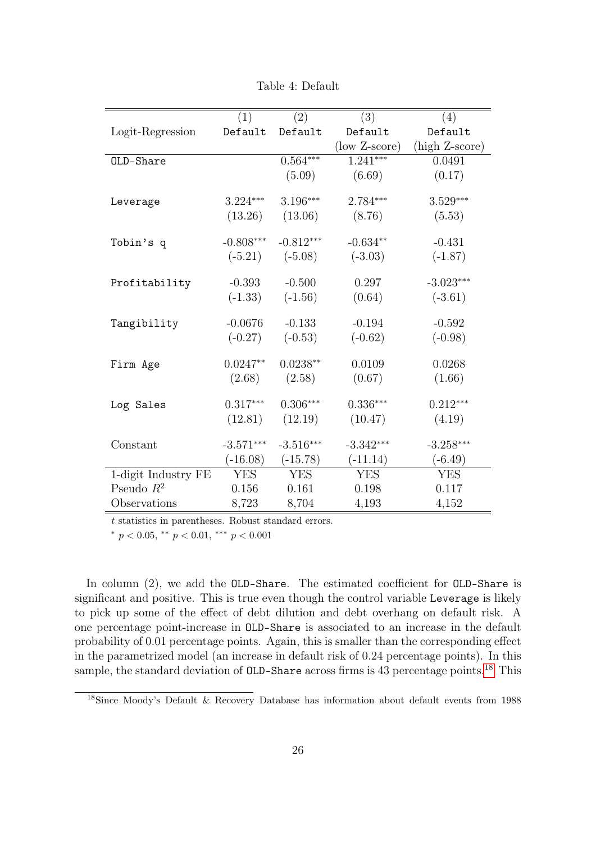<span id="page-26-0"></span>

|                     | (1)         | (2)         | (3)           | (4)            |
|---------------------|-------------|-------------|---------------|----------------|
| Logit-Regression    | Default     | Default     | Default       | Default        |
|                     |             |             | (low Z-score) | (high Z-score) |
| OLD-Share           |             | $0.564***$  | $1.241***$    | 0.0491         |
|                     |             | (5.09)      | (6.69)        | (0.17)         |
|                     |             |             |               |                |
| Leverage            | $3.224***$  | $3.196***$  | $2.784***$    | $3.529***$     |
|                     | (13.26)     | (13.06)     | (8.76)        | (5.53)         |
|                     | $-0.808***$ | $-0.812***$ | $-0.634**$    | $-0.431$       |
| Tobin's q           |             |             |               |                |
|                     | $(-5.21)$   | $(-5.08)$   | $(-3.03)$     | $(-1.87)$      |
| Profitability       | $-0.393$    | $-0.500$    | 0.297         | $-3.023***$    |
|                     | $(-1.33)$   | $(-1.56)$   | (0.64)        | $(-3.61)$      |
|                     |             |             |               |                |
| Tangibility         | $-0.0676$   | $-0.133$    | $-0.194$      | $-0.592$       |
|                     | $(-0.27)$   | $(-0.53)$   | $(-0.62)$     | $(-0.98)$      |
|                     |             |             |               |                |
| Firm Age            | $0.0247**$  | $0.0238**$  | 0.0109        | 0.0268         |
|                     | (2.68)      | (2.58)      | (0.67)        | (1.66)         |
| Log Sales           | $0.317***$  | $0.306***$  | $0.336***$    | $0.212***$     |
|                     |             |             |               |                |
|                     | (12.81)     | (12.19)     | (10.47)       | (4.19)         |
| Constant            | $-3.571***$ | $-3.516***$ | $-3.342***$   | $-3.258***$    |
|                     | $(-16.08)$  | $(-15.78)$  | $(-11.14)$    | $(-6.49)$      |
| 1-digit Industry FE | <b>YES</b>  | <b>YES</b>  | <b>YES</b>    | <b>YES</b>     |
| Pseudo $R^2$        | 0.156       | 0.161       | 0.198         | 0.117          |
| Observations        | 8,723       | 8,704       | 4,193         | 4,152          |

Table 4: Default

t statistics in parentheses. Robust standard errors.

\*  $p < 0.05$ , \*\*  $p < 0.01$ , \*\*\*  $p < 0.001$ 

In column (2), we add the OLD-Share. The estimated coefficient for OLD-Share is significant and positive. This is true even though the control variable Leverage is likely to pick up some of the effect of debt dilution and debt overhang on default risk. A one percentage point-increase in OLD-Share is associated to an increase in the default probability of 0.01 percentage points. Again, this is smaller than the corresponding effect in the parametrized model (an increase in default risk of 0.24 percentage points). In this sample, the standard deviation of OLD-Share across firms is 43 percentage points.<sup>[18](#page-26-1)</sup> This

<span id="page-26-1"></span><sup>18</sup>Since Moody's Default & Recovery Database has information about default events from 1988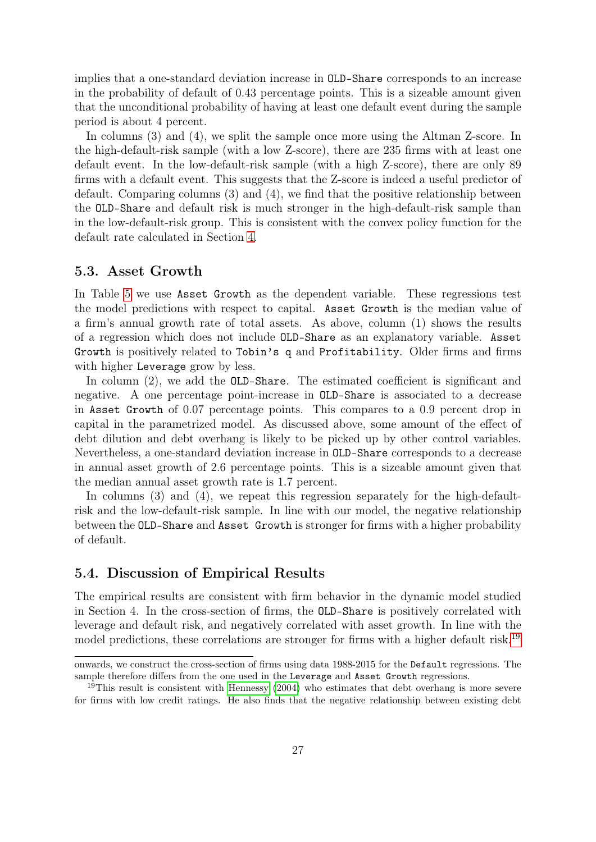implies that a one-standard deviation increase in OLD-Share corresponds to an increase in the probability of default of 0.43 percentage points. This is a sizeable amount given that the unconditional probability of having at least one default event during the sample period is about 4 percent.

In columns (3) and (4), we split the sample once more using the Altman Z-score. In the high-default-risk sample (with a low Z-score), there are 235 firms with at least one default event. In the low-default-risk sample (with a high Z-score), there are only 89 firms with a default event. This suggests that the Z-score is indeed a useful predictor of default. Comparing columns (3) and (4), we find that the positive relationship between the OLD-Share and default risk is much stronger in the high-default-risk sample than in the low-default-risk group. This is consistent with the convex policy function for the default rate calculated in Section [4.](#page-13-0)

### 5.3. Asset Growth

In Table [5](#page-28-0) we use Asset Growth as the dependent variable. These regressions test the model predictions with respect to capital. Asset Growth is the median value of a firm's annual growth rate of total assets. As above, column (1) shows the results of a regression which does not include OLD-Share as an explanatory variable. Asset Growth is positively related to Tobin's q and Profitability. Older firms and firms with higher Leverage grow by less.

In column (2), we add the OLD-Share. The estimated coefficient is significant and negative. A one percentage point-increase in OLD-Share is associated to a decrease in Asset Growth of 0.07 percentage points. This compares to a 0.9 percent drop in capital in the parametrized model. As discussed above, some amount of the effect of debt dilution and debt overhang is likely to be picked up by other control variables. Nevertheless, a one-standard deviation increase in OLD-Share corresponds to a decrease in annual asset growth of 2.6 percentage points. This is a sizeable amount given that the median annual asset growth rate is 1.7 percent.

In columns (3) and (4), we repeat this regression separately for the high-defaultrisk and the low-default-risk sample. In line with our model, the negative relationship between the OLD-Share and Asset Growth is stronger for firms with a higher probability of default.

## 5.4. Discussion of Empirical Results

The empirical results are consistent with firm behavior in the dynamic model studied in Section 4. In the cross-section of firms, the OLD-Share is positively correlated with leverage and default risk, and negatively correlated with asset growth. In line with the model predictions, these correlations are stronger for firms with a higher default risk.<sup>[19](#page-27-0)</sup>

onwards, we construct the cross-section of firms using data 1988-2015 for the Default regressions. The sample therefore differs from the one used in the Leverage and Asset Growth regressions.

<span id="page-27-0"></span><sup>&</sup>lt;sup>19</sup>This result is consistent with [Hennessy](#page-37-7) [\(2004\)](#page-37-7) who estimates that debt overhang is more severe for firms with low credit ratings. He also finds that the negative relationship between existing debt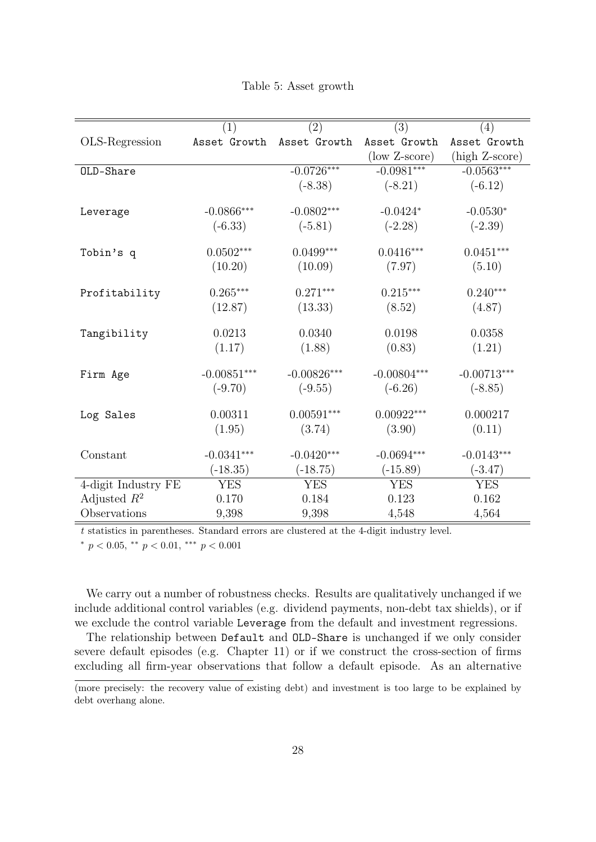|  |  |  | Table 5: Asset growth |
|--|--|--|-----------------------|
|--|--|--|-----------------------|

<span id="page-28-0"></span>

|                     | (1)           | (2)           | (3)           | (4)            |
|---------------------|---------------|---------------|---------------|----------------|
| OLS-Regression      | Asset Growth  | Asset Growth  | Asset Growth  | Asset Growth   |
|                     |               |               | (low Z-score) | (high Z-score) |
| OLD-Share           |               | $-0.0726***$  | $-0.0981***$  | $-0.0563***$   |
|                     |               | $(-8.38)$     | $(-8.21)$     | $(-6.12)$      |
|                     |               |               |               |                |
| Leverage            | $-0.0866***$  | $-0.0802***$  | $-0.0424*$    | $-0.0530*$     |
|                     | $(-6.33)$     | $(-5.81)$     | $(-2.28)$     | $(-2.39)$      |
| Tobin's q           | $0.0502***$   | $0.0499***$   | $0.0416***$   | $0.0451***$    |
|                     | (10.20)       | (10.09)       | (7.97)        | (5.10)         |
| Profitability       | $0.265***$    | $0.271***$    | $0.215***$    | $0.240***$     |
|                     |               |               |               |                |
|                     | (12.87)       | (13.33)       | (8.52)        | (4.87)         |
| Tangibility         | 0.0213        | 0.0340        | 0.0198        | 0.0358         |
|                     | (1.17)        | (1.88)        | (0.83)        | (1.21)         |
| Firm Age            | $-0.00851***$ | $-0.00826***$ | $-0.00804***$ | $-0.00713***$  |
|                     | $(-9.70)$     | $(-9.55)$     | $(-6.26)$     | $(-8.85)$      |
|                     |               |               |               |                |
| Log Sales           | 0.00311       | $0.00591***$  | $0.00922***$  | 0.000217       |
|                     | (1.95)        | (3.74)        | (3.90)        | (0.11)         |
| Constant            | $-0.0341***$  | $-0.0420***$  | $-0.0694***$  | $-0.0143***$   |
|                     | $(-18.35)$    | $(-18.75)$    | $(-15.89)$    | $(-3.47)$      |
| 4-digit Industry FE | <b>YES</b>    | <b>YES</b>    | <b>YES</b>    | <b>YES</b>     |
| Adjusted $R^2$      | 0.170         | 0.184         | 0.123         | 0.162          |
| Observations        | 9,398         | 9,398         | 4,548         | 4,564          |

t statistics in parentheses. Standard errors are clustered at the 4-digit industry level.

\*  $p < 0.05$ , \*\*  $p < 0.01$ , \*\*\*  $p < 0.001$ 

We carry out a number of robustness checks. Results are qualitatively unchanged if we include additional control variables (e.g. dividend payments, non-debt tax shields), or if we exclude the control variable Leverage from the default and investment regressions.

The relationship between Default and OLD-Share is unchanged if we only consider severe default episodes (e.g. Chapter 11) or if we construct the cross-section of firms excluding all firm-year observations that follow a default episode. As an alternative

<sup>(</sup>more precisely: the recovery value of existing debt) and investment is too large to be explained by debt overhang alone.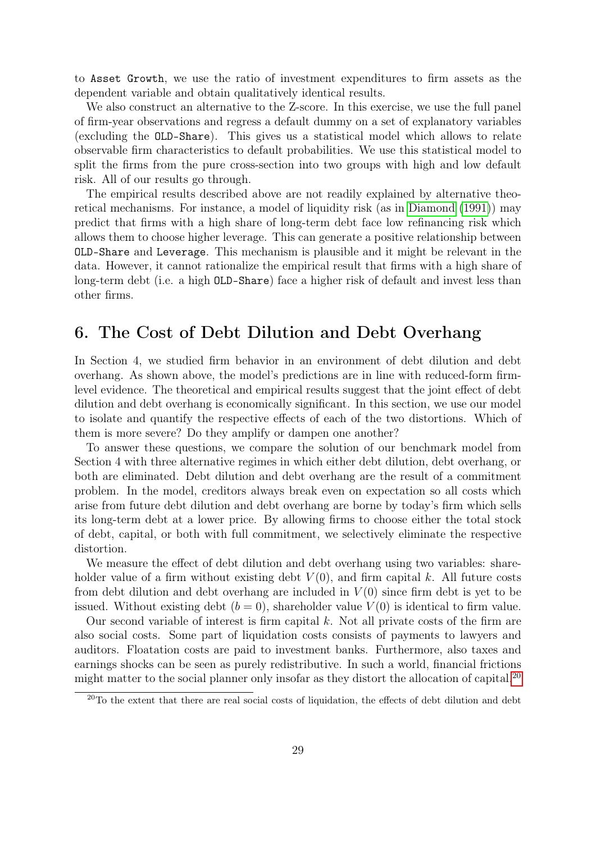to Asset Growth, we use the ratio of investment expenditures to firm assets as the dependent variable and obtain qualitatively identical results.

We also construct an alternative to the Z-score. In this exercise, we use the full panel of firm-year observations and regress a default dummy on a set of explanatory variables (excluding the OLD-Share). This gives us a statistical model which allows to relate observable firm characteristics to default probabilities. We use this statistical model to split the firms from the pure cross-section into two groups with high and low default risk. All of our results go through.

The empirical results described above are not readily explained by alternative theoretical mechanisms. For instance, a model of liquidity risk (as in [Diamond](#page-36-14) [\(1991\)](#page-36-14)) may predict that firms with a high share of long-term debt face low refinancing risk which allows them to choose higher leverage. This can generate a positive relationship between OLD-Share and Leverage. This mechanism is plausible and it might be relevant in the data. However, it cannot rationalize the empirical result that firms with a high share of long-term debt (i.e. a high OLD-Share) face a higher risk of default and invest less than other firms.

## 6. The Cost of Debt Dilution and Debt Overhang

In Section 4, we studied firm behavior in an environment of debt dilution and debt overhang. As shown above, the model's predictions are in line with reduced-form firmlevel evidence. The theoretical and empirical results suggest that the joint effect of debt dilution and debt overhang is economically significant. In this section, we use our model to isolate and quantify the respective effects of each of the two distortions. Which of them is more severe? Do they amplify or dampen one another?

To answer these questions, we compare the solution of our benchmark model from Section 4 with three alternative regimes in which either debt dilution, debt overhang, or both are eliminated. Debt dilution and debt overhang are the result of a commitment problem. In the model, creditors always break even on expectation so all costs which arise from future debt dilution and debt overhang are borne by today's firm which sells its long-term debt at a lower price. By allowing firms to choose either the total stock of debt, capital, or both with full commitment, we selectively eliminate the respective distortion.

We measure the effect of debt dilution and debt overhang using two variables: shareholder value of a firm without existing debt  $V(0)$ , and firm capital k. All future costs from debt dilution and debt overhang are included in  $V(0)$  since firm debt is yet to be issued. Without existing debt  $(b = 0)$ , shareholder value  $V(0)$  is identical to firm value.

Our second variable of interest is firm capital  $k$ . Not all private costs of the firm are also social costs. Some part of liquidation costs consists of payments to lawyers and auditors. Floatation costs are paid to investment banks. Furthermore, also taxes and earnings shocks can be seen as purely redistributive. In such a world, financial frictions might matter to the social planner only insofar as they distort the allocation of capital.<sup>[20](#page-29-0)</sup>

<span id="page-29-0"></span><sup>&</sup>lt;sup>20</sup>To the extent that there are real social costs of liquidation, the effects of debt dilution and debt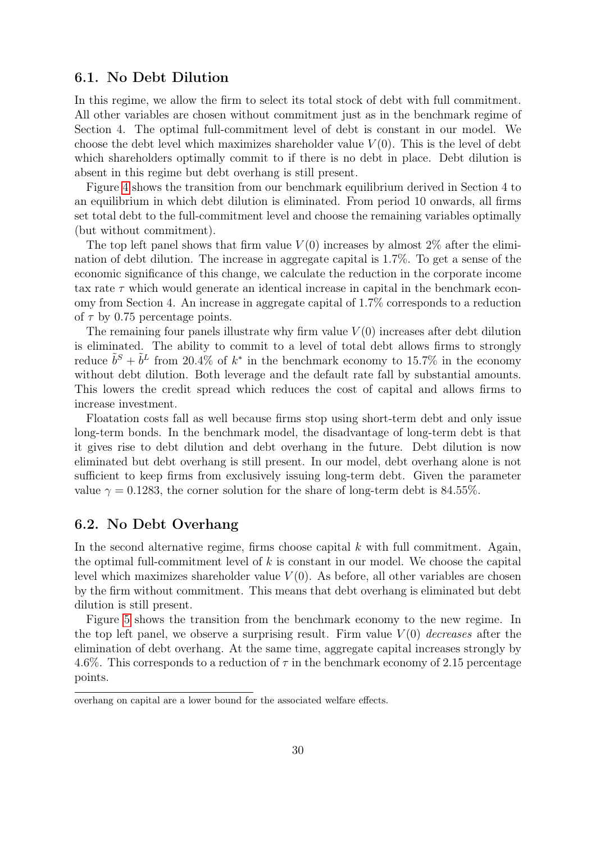## 6.1. No Debt Dilution

In this regime, we allow the firm to select its total stock of debt with full commitment. All other variables are chosen without commitment just as in the benchmark regime of Section 4. The optimal full-commitment level of debt is constant in our model. We choose the debt level which maximizes shareholder value  $V(0)$ . This is the level of debt which shareholders optimally commit to if there is no debt in place. Debt dilution is absent in this regime but debt overhang is still present.

Figure [4](#page-31-0) shows the transition from our benchmark equilibrium derived in Section 4 to an equilibrium in which debt dilution is eliminated. From period 10 onwards, all firms set total debt to the full-commitment level and choose the remaining variables optimally (but without commitment).

The top left panel shows that firm value  $V(0)$  increases by almost 2% after the elimination of debt dilution. The increase in aggregate capital is 1.7%. To get a sense of the economic significance of this change, we calculate the reduction in the corporate income tax rate  $\tau$  which would generate an identical increase in capital in the benchmark economy from Section 4. An increase in aggregate capital of 1.7% corresponds to a reduction of  $\tau$  by 0.75 percentage points.

The remaining four panels illustrate why firm value  $V(0)$  increases after debt dilution is eliminated. The ability to commit to a level of total debt allows firms to strongly reduce  $\tilde{b}^S + \tilde{b}^L$  from 20.4% of  $k^*$  in the benchmark economy to 15.7% in the economy without debt dilution. Both leverage and the default rate fall by substantial amounts. This lowers the credit spread which reduces the cost of capital and allows firms to increase investment.

Floatation costs fall as well because firms stop using short-term debt and only issue long-term bonds. In the benchmark model, the disadvantage of long-term debt is that it gives rise to debt dilution and debt overhang in the future. Debt dilution is now eliminated but debt overhang is still present. In our model, debt overhang alone is not sufficient to keep firms from exclusively issuing long-term debt. Given the parameter value  $\gamma = 0.1283$ , the corner solution for the share of long-term debt is 84.55%.

## 6.2. No Debt Overhang

In the second alternative regime, firms choose capital  $k$  with full commitment. Again, the optimal full-commitment level of  $k$  is constant in our model. We choose the capital level which maximizes shareholder value  $V(0)$ . As before, all other variables are chosen by the firm without commitment. This means that debt overhang is eliminated but debt dilution is still present.

Figure [5](#page-31-0) shows the transition from the benchmark economy to the new regime. In the top left panel, we observe a surprising result. Firm value  $V(0)$  decreases after the elimination of debt overhang. At the same time, aggregate capital increases strongly by 4.6%. This corresponds to a reduction of  $\tau$  in the benchmark economy of 2.15 percentage points.

overhang on capital are a lower bound for the associated welfare effects.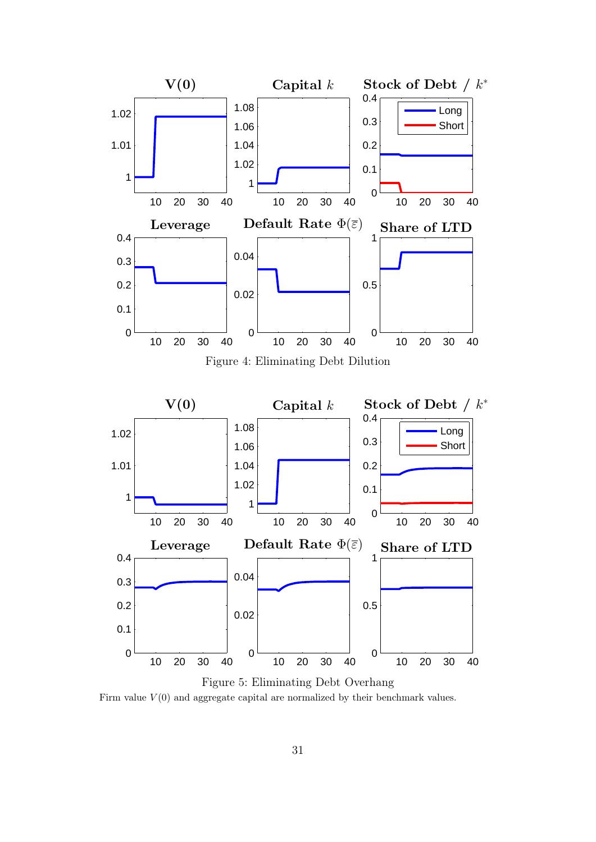<span id="page-31-0"></span>

Figure 5: Eliminating Debt Overhang Firm value  $V(0)$  and aggregate capital are normalized by their benchmark values.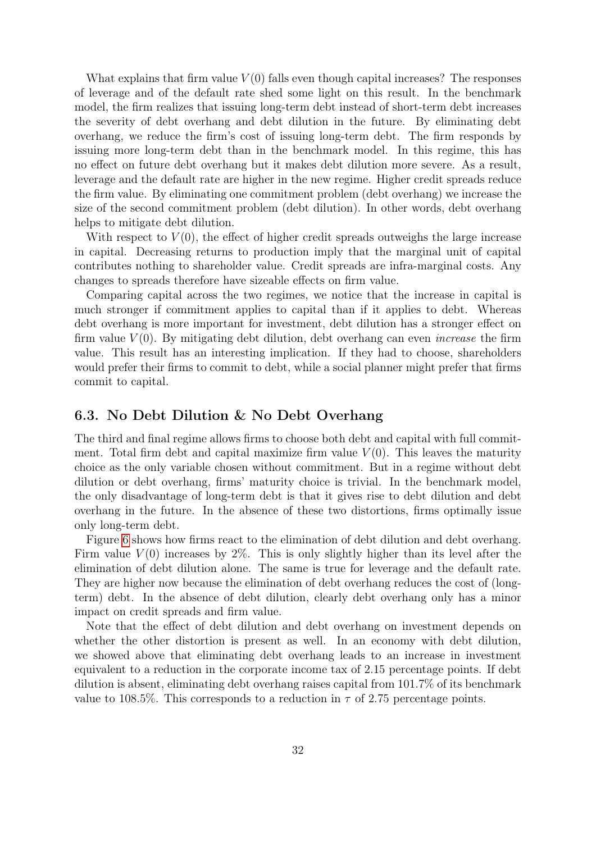What explains that firm value  $V(0)$  falls even though capital increases? The responses of leverage and of the default rate shed some light on this result. In the benchmark model, the firm realizes that issuing long-term debt instead of short-term debt increases the severity of debt overhang and debt dilution in the future. By eliminating debt overhang, we reduce the firm's cost of issuing long-term debt. The firm responds by issuing more long-term debt than in the benchmark model. In this regime, this has no effect on future debt overhang but it makes debt dilution more severe. As a result, leverage and the default rate are higher in the new regime. Higher credit spreads reduce the firm value. By eliminating one commitment problem (debt overhang) we increase the size of the second commitment problem (debt dilution). In other words, debt overhang helps to mitigate debt dilution.

With respect to  $V(0)$ , the effect of higher credit spreads outweighs the large increase in capital. Decreasing returns to production imply that the marginal unit of capital contributes nothing to shareholder value. Credit spreads are infra-marginal costs. Any changes to spreads therefore have sizeable effects on firm value.

Comparing capital across the two regimes, we notice that the increase in capital is much stronger if commitment applies to capital than if it applies to debt. Whereas debt overhang is more important for investment, debt dilution has a stronger effect on firm value  $V(0)$ . By mitigating debt dilution, debt overhang can even *increase* the firm value. This result has an interesting implication. If they had to choose, shareholders would prefer their firms to commit to debt, while a social planner might prefer that firms commit to capital.

## 6.3. No Debt Dilution & No Debt Overhang

The third and final regime allows firms to choose both debt and capital with full commitment. Total firm debt and capital maximize firm value  $V(0)$ . This leaves the maturity choice as the only variable chosen without commitment. But in a regime without debt dilution or debt overhang, firms' maturity choice is trivial. In the benchmark model, the only disadvantage of long-term debt is that it gives rise to debt dilution and debt overhang in the future. In the absence of these two distortions, firms optimally issue only long-term debt.

Figure [6](#page-33-0) shows how firms react to the elimination of debt dilution and debt overhang. Firm value  $V(0)$  increases by 2%. This is only slightly higher than its level after the elimination of debt dilution alone. The same is true for leverage and the default rate. They are higher now because the elimination of debt overhang reduces the cost of (longterm) debt. In the absence of debt dilution, clearly debt overhang only has a minor impact on credit spreads and firm value.

Note that the effect of debt dilution and debt overhang on investment depends on whether the other distortion is present as well. In an economy with debt dilution, we showed above that eliminating debt overhang leads to an increase in investment equivalent to a reduction in the corporate income tax of 2.15 percentage points. If debt dilution is absent, eliminating debt overhang raises capital from 101.7% of its benchmark value to 108.5%. This corresponds to a reduction in  $\tau$  of 2.75 percentage points.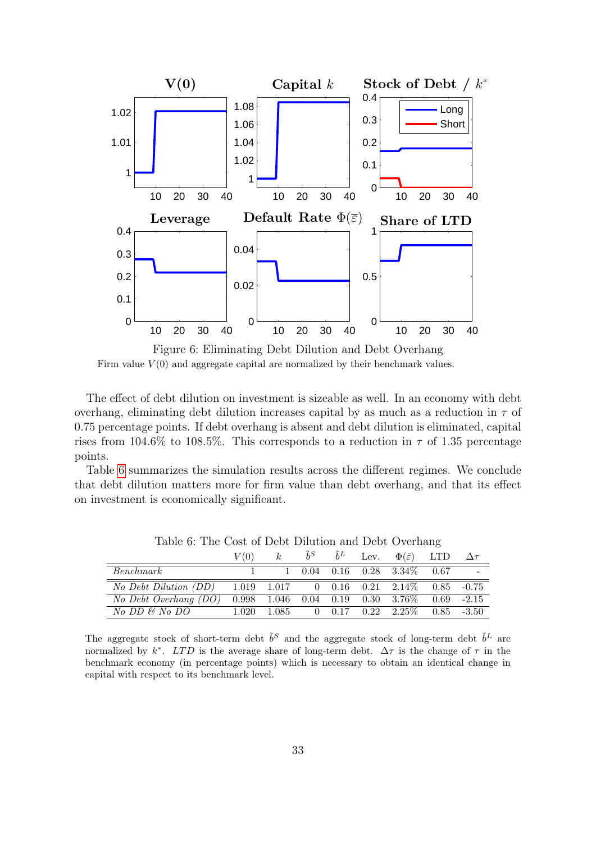<span id="page-33-0"></span>

Figure 6: Eliminating Debt Dilution and Debt Overhang Firm value  $V(0)$  and aggregate capital are normalized by their benchmark values.

The effect of debt dilution on investment is sizeable as well. In an economy with debt overhang, eliminating debt dilution increases capital by as much as a reduction in  $\tau$  of 0.75 percentage points. If debt overhang is absent and debt dilution is eliminated, capital rises from 104.6% to 108.5%. This corresponds to a reduction in  $\tau$  of 1.35 percentage points.

Table [6](#page-33-1) summarizes the simulation results across the different regimes. We conclude that debt dilution matters more for firm value than debt overhang, and that its effect on investment is economically significant.

<span id="page-33-1"></span>

|                                                                 | V(0) | $k_{\perp}$ |  | $\tilde{b}^S$ $\tilde{b}^L$ Lev. $\Phi(\bar{\varepsilon})$ LTD | $\Delta \tau$ |
|-----------------------------------------------------------------|------|-------------|--|----------------------------------------------------------------|---------------|
| Benchmark                                                       |      |             |  | $1\quad 0.04\quad 0.16\quad 0.28\quad 3.34\% \quad 0.67$       |               |
| No Debt Dilution (DD) 1.019 1.017 0 0.16 0.21 2.14\% 0.85 -0.75 |      |             |  |                                                                |               |
| No Debt Overhang (DO)                                           |      |             |  | $0.998$ $1.046$ $0.04$ $0.19$ $0.30$ $3.76\%$ $0.69$ $-2.15$   |               |
| No DD & No DO                                                   |      |             |  | $1.020$ $1.085$ 0 $0.17$ $0.22$ $2.25\%$ $0.85$ $-3.50$        |               |

Table 6: The Cost of Debt Dilution and Debt Overhang

The aggregate stock of short-term debt  $\tilde{b}^S$  and the aggregate stock of long-term debt  $\tilde{b}^L$  are normalized by k<sup>\*</sup>. LTD is the average share of long-term debt.  $\Delta \tau$  is the change of  $\tau$  in the benchmark economy (in percentage points) which is necessary to obtain an identical change in capital with respect to its benchmark level.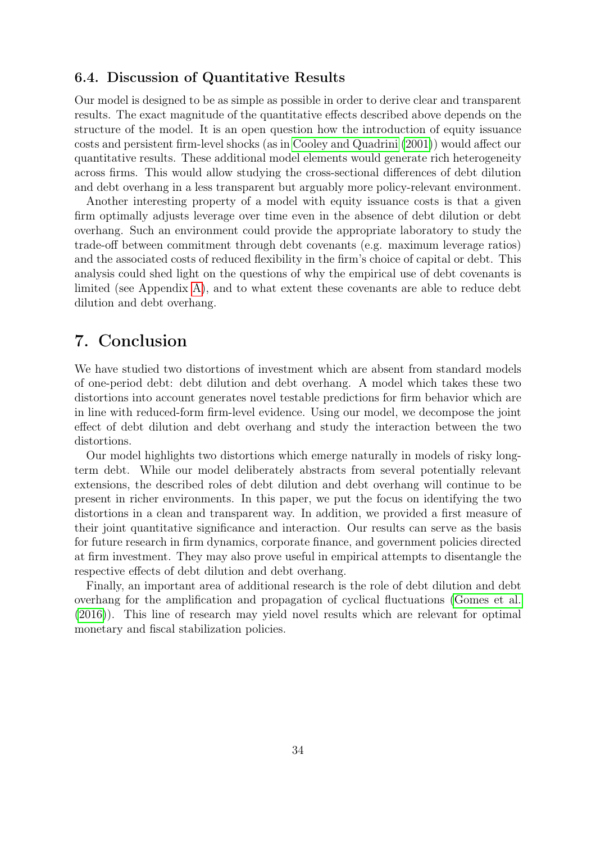## 6.4. Discussion of Quantitative Results

Our model is designed to be as simple as possible in order to derive clear and transparent results. The exact magnitude of the quantitative effects described above depends on the structure of the model. It is an open question how the introduction of equity issuance costs and persistent firm-level shocks (as in [Cooley and Quadrini](#page-36-4) [\(2001\)](#page-36-4)) would affect our quantitative results. These additional model elements would generate rich heterogeneity across firms. This would allow studying the cross-sectional differences of debt dilution and debt overhang in a less transparent but arguably more policy-relevant environment.

Another interesting property of a model with equity issuance costs is that a given firm optimally adjusts leverage over time even in the absence of debt dilution or debt overhang. Such an environment could provide the appropriate laboratory to study the trade-off between commitment through debt covenants (e.g. maximum leverage ratios) and the associated costs of reduced flexibility in the firm's choice of capital or debt. This analysis could shed light on the questions of why the empirical use of debt covenants is limited (see Appendix [A\)](#page-39-0), and to what extent these covenants are able to reduce debt dilution and debt overhang.

## 7. Conclusion

We have studied two distortions of investment which are absent from standard models of one-period debt: debt dilution and debt overhang. A model which takes these two distortions into account generates novel testable predictions for firm behavior which are in line with reduced-form firm-level evidence. Using our model, we decompose the joint effect of debt dilution and debt overhang and study the interaction between the two distortions.

Our model highlights two distortions which emerge naturally in models of risky longterm debt. While our model deliberately abstracts from several potentially relevant extensions, the described roles of debt dilution and debt overhang will continue to be present in richer environments. In this paper, we put the focus on identifying the two distortions in a clean and transparent way. In addition, we provided a first measure of their joint quantitative significance and interaction. Our results can serve as the basis for future research in firm dynamics, corporate finance, and government policies directed at firm investment. They may also prove useful in empirical attempts to disentangle the respective effects of debt dilution and debt overhang.

Finally, an important area of additional research is the role of debt dilution and debt overhang for the amplification and propagation of cyclical fluctuations [\(Gomes et al.](#page-36-0) [\(2016\)](#page-36-0)). This line of research may yield novel results which are relevant for optimal monetary and fiscal stabilization policies.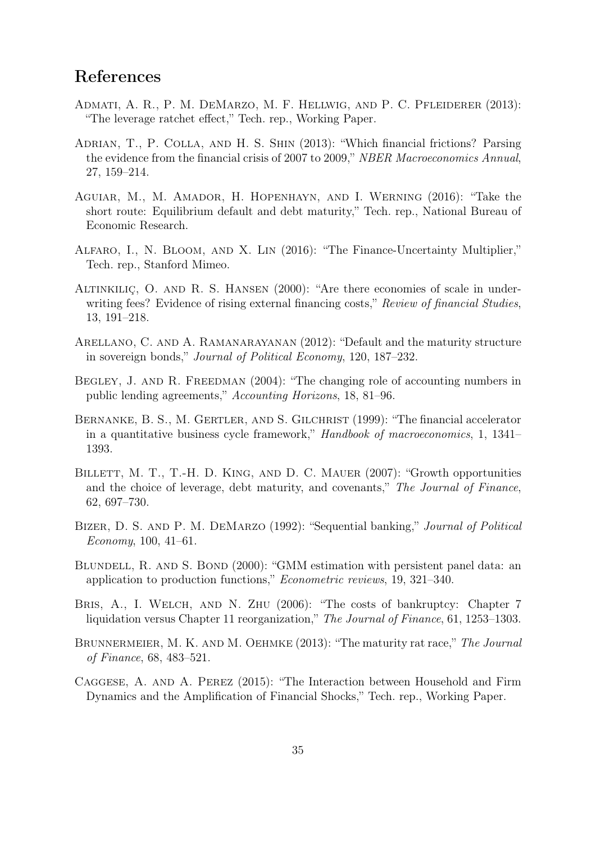## References

- <span id="page-35-6"></span>ADMATI, A. R., P. M. DEMARZO, M. F. HELLWIG, AND P. C. PFLEIDERER (2013): "The leverage ratchet effect," Tech. rep., Working Paper.
- <span id="page-35-12"></span>ADRIAN, T., P. COLLA, AND H. S. SHIN (2013): "Which financial frictions? Parsing the evidence from the financial crisis of 2007 to 2009," NBER Macroeconomics Annual, 27, 159–214.
- <span id="page-35-9"></span>Aguiar, M., M. Amador, H. Hopenhayn, and I. Werning (2016): "Take the short route: Equilibrium default and debt maturity," Tech. rep., National Bureau of Economic Research.
- <span id="page-35-3"></span>Alfaro, I., N. Bloom, and X. Lin (2016): "The Finance-Uncertainty Multiplier," Tech. rep., Stanford Mimeo.
- <span id="page-35-11"></span>ALTINKILIÇ, O. AND R. S. HANSEN (2000): "Are there economies of scale in underwriting fees? Evidence of rising external financing costs," Review of financial Studies, 13, 191–218.
- <span id="page-35-0"></span>Arellano, C. and A. Ramanarayanan (2012): "Default and the maturity structure in sovereign bonds," Journal of Political Economy, 120, 187–232.
- <span id="page-35-1"></span>BEGLEY, J. AND R. FREEDMAN (2004): "The changing role of accounting numbers in public lending agreements," Accounting Horizons, 18, 81–96.
- <span id="page-35-5"></span>BERNANKE, B. S., M. GERTLER, AND S. GILCHRIST (1999): "The financial accelerator in a quantitative business cycle framework," Handbook of macroeconomics, 1, 1341– 1393.
- <span id="page-35-2"></span>BILLETT, M. T., T.-H. D. KING, AND D. C. MAUER (2007): "Growth opportunities and the choice of leverage, debt maturity, and covenants," The Journal of Finance, 62, 697–730.
- <span id="page-35-8"></span>BIZER, D. S. AND P. M. DEMARZO (1992): "Sequential banking," *Journal of Political* Economy, 100, 41–61.
- <span id="page-35-10"></span>BLUNDELL, R. AND S. BOND (2000): "GMM estimation with persistent panel data: an application to production functions," Econometric reviews, 19, 321–340.
- <span id="page-35-13"></span>BRIS, A., I. WELCH, AND N. ZHU (2006): "The costs of bankruptcy: Chapter 7 liquidation versus Chapter 11 reorganization," The Journal of Finance, 61, 1253–1303.
- <span id="page-35-7"></span>BRUNNERMEIER, M. K. AND M. OEHMKE (2013): "The maturity rat race," The Journal of Finance, 68, 483–521.
- <span id="page-35-4"></span>Caggese, A. and A. Perez (2015): "The Interaction between Household and Firm Dynamics and the Amplification of Financial Shocks," Tech. rep., Working Paper.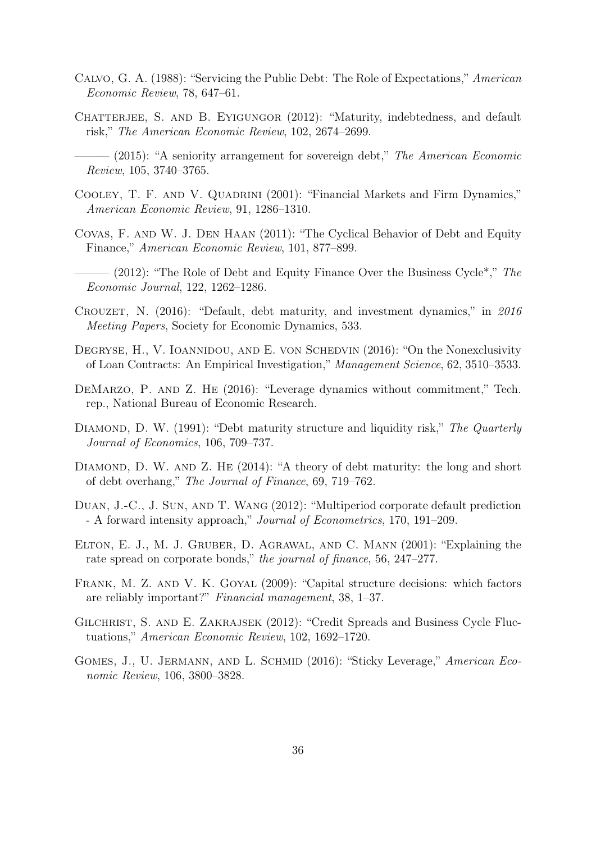- <span id="page-36-9"></span>Calvo, G. A. (1988): "Servicing the Public Debt: The Role of Expectations," American Economic Review, 78, 647–61.
- <span id="page-36-2"></span><span id="page-36-1"></span>CHATTERJEE, S. AND B. EYIGUNGOR (2012): "Maturity, indebtedness, and default risk," The American Economic Review, 102, 2674–2699.
	- $-$  (2015): "A seniority arrangement for sovereign debt," The American Economic Review, 105, 3740–3765.
- <span id="page-36-4"></span>COOLEY, T. F. AND V. QUADRINI (2001): "Financial Markets and Firm Dynamics," American Economic Review, 91, 1286–1310.
- <span id="page-36-15"></span>Covas, F. and W. J. Den Haan (2011): "The Cyclical Behavior of Debt and Equity Finance," American Economic Review, 101, 877–899.
- <span id="page-36-5"></span> $-(2012)$ : "The Role of Debt and Equity Finance Over the Business Cycle<sup>\*</sup>," The Economic Journal, 122, 1262–1286.
- <span id="page-36-3"></span>Crouzet, N. (2016): "Default, debt maturity, and investment dynamics," in 2016 Meeting Papers, Society for Economic Dynamics, 533.
- <span id="page-36-8"></span>DEGRYSE, H., V. IOANNIDOU, AND E. VON SCHEDVIN (2016): "On the Nonexclusivity of Loan Contracts: An Empirical Investigation," Management Science, 62, 3510–3533.
- <span id="page-36-6"></span>DEMARZO, P. AND Z. HE (2016): "Leverage dynamics without commitment," Tech. rep., National Bureau of Economic Research.
- <span id="page-36-14"></span>DIAMOND, D. W. (1991): "Debt maturity structure and liquidity risk," The Quarterly Journal of Economics, 106, 709–737.
- <span id="page-36-7"></span>DIAMOND, D. W. AND Z. HE (2014): "A theory of debt maturity: the long and short of debt overhang," The Journal of Finance, 69, 719–762.
- <span id="page-36-11"></span>Duan, J.-C., J. Sun, and T. Wang (2012): "Multiperiod corporate default prediction - A forward intensity approach," Journal of Econometrics, 170, 191–209.
- <span id="page-36-12"></span>Elton, E. J., M. J. Gruber, D. Agrawal, and C. Mann (2001): "Explaining the rate spread on corporate bonds," the journal of finance, 56, 247–277.
- <span id="page-36-13"></span>Frank, M. Z. and V. K. Goyal (2009): "Capital structure decisions: which factors are reliably important?" Financial management, 38, 1–37.
- <span id="page-36-10"></span>Gilchrist, S. and E. Zakrajsek (2012): "Credit Spreads and Business Cycle Fluctuations," American Economic Review, 102, 1692–1720.
- <span id="page-36-0"></span>GOMES, J., U. JERMANN, AND L. SCHMID (2016): "Sticky Leverage," American Economic Review, 106, 3800–3828.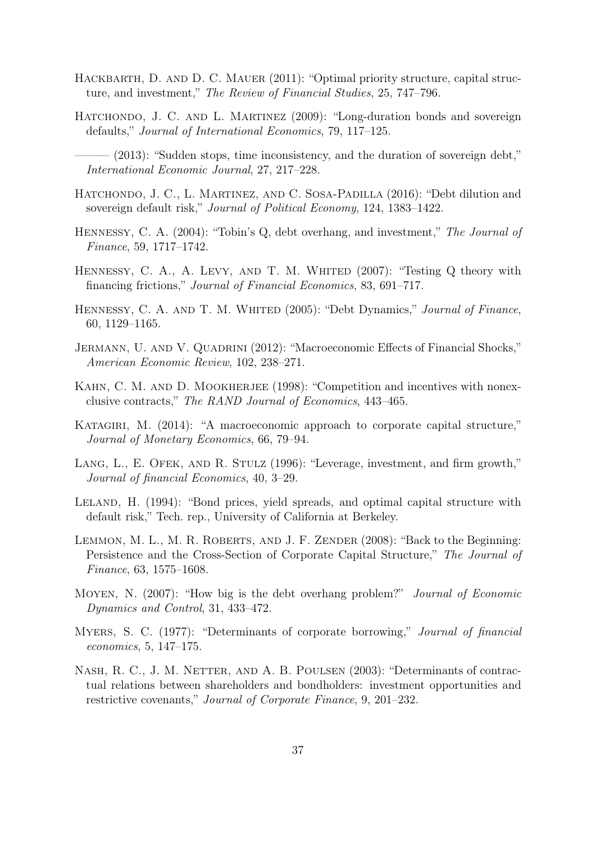- <span id="page-37-2"></span>HACKBARTH, D. AND D. C. MAUER (2011): "Optimal priority structure, capital structure, and investment," The Review of Financial Studies, 25, 747–796.
- <span id="page-37-11"></span>HATCHONDO, J. C. AND L. MARTINEZ (2009): "Long-duration bonds and sovereign defaults," Journal of International Economics, 79, 117–125.

<span id="page-37-12"></span>– (2013): "Sudden stops, time inconsistency, and the duration of sovereign debt," International Economic Journal, 27, 217–228.

- <span id="page-37-1"></span>HATCHONDO, J. C., L. MARTINEZ, AND C. SOSA-PADILLA (2016): "Debt dilution and sovereign default risk," Journal of Political Economy, 124, 1383–1422.
- <span id="page-37-7"></span>Hennessy, C. A. (2004): "Tobin's Q, debt overhang, and investment," The Journal of Finance, 59, 1717–1742.
- <span id="page-37-10"></span>HENNESSY, C. A., A. LEVY, AND T. M. WHITED (2007): "Testing Q theory with financing frictions," Journal of Financial Economics, 83, 691–717.
- <span id="page-37-4"></span>HENNESSY, C. A. AND T. M. WHITED (2005): "Debt Dynamics," Journal of Finance, 60, 1129–1165.
- <span id="page-37-14"></span>JERMANN, U. AND V. QUADRINI (2012): "Macroeconomic Effects of Financial Shocks," American Economic Review, 102, 238–271.
- <span id="page-37-6"></span>KAHN, C. M. AND D. MOOKHERJEE (1998): "Competition and incentives with nonexclusive contracts," The RAND Journal of Economics, 443–465.
- <span id="page-37-5"></span>KATAGIRI, M. (2014): "A macroeconomic approach to corporate capital structure," Journal of Monetary Economics, 66, 79–94.
- <span id="page-37-9"></span>LANG, L., E. OFEK, AND R. STULZ (1996): "Leverage, investment, and firm growth," Journal of financial Economics, 40, 3–29.
- <span id="page-37-13"></span>LELAND, H. (1994): "Bond prices, yield spreads, and optimal capital structure with default risk," Tech. rep., University of California at Berkeley.
- <span id="page-37-15"></span>LEMMON, M. L., M. R. ROBERTS, AND J. F. ZENDER (2008): "Back to the Beginning: Persistence and the Cross-Section of Corporate Capital Structure," The Journal of Finance, 63, 1575–1608.
- <span id="page-37-8"></span>MOYEN, N. (2007): "How big is the debt overhang problem?" *Journal of Economic* Dynamics and Control, 31, 433–472.
- <span id="page-37-0"></span>Myers, S. C. (1977): "Determinants of corporate borrowing," Journal of financial economics, 5, 147–175.
- <span id="page-37-3"></span>Nash, R. C., J. M. Netter, and A. B. Poulsen (2003): "Determinants of contractual relations between shareholders and bondholders: investment opportunities and restrictive covenants," Journal of Corporate Finance, 9, 201–232.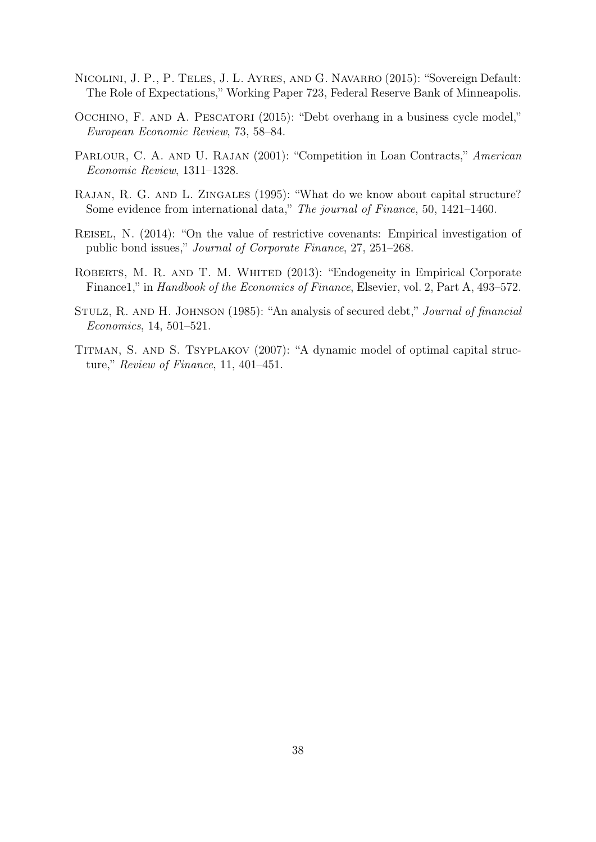- <span id="page-38-5"></span>Nicolini, J. P., P. Teles, J. L. Ayres, and G. Navarro (2015): "Sovereign Default: The Role of Expectations," Working Paper 723, Federal Reserve Bank of Minneapolis.
- <span id="page-38-4"></span>OCCHINO, F. AND A. PESCATORI (2015): "Debt overhang in a business cycle model," European Economic Review, 73, 58–84.
- <span id="page-38-2"></span>PARLOUR, C. A. AND U. RAJAN (2001): "Competition in Loan Contracts," American Economic Review, 1311–1328.
- <span id="page-38-7"></span>RAJAN, R. G. AND L. ZINGALES (1995): "What do we know about capital structure? Some evidence from international data," The journal of Finance, 50, 1421–1460.
- <span id="page-38-1"></span>Reisel, N. (2014): "On the value of restrictive covenants: Empirical investigation of public bond issues," Journal of Corporate Finance, 27, 251–268.
- <span id="page-38-6"></span>ROBERTS, M. R. AND T. M. WHITED (2013): "Endogeneity in Empirical Corporate Finance1," in Handbook of the Economics of Finance, Elsevier, vol. 2, Part A, 493–572.
- <span id="page-38-0"></span>Stulz, R. and H. Johnson (1985): "An analysis of secured debt," Journal of financial Economics, 14, 501–521.
- <span id="page-38-3"></span>Titman, S. and S. Tsyplakov (2007): "A dynamic model of optimal capital structure," Review of Finance, 11, 401–451.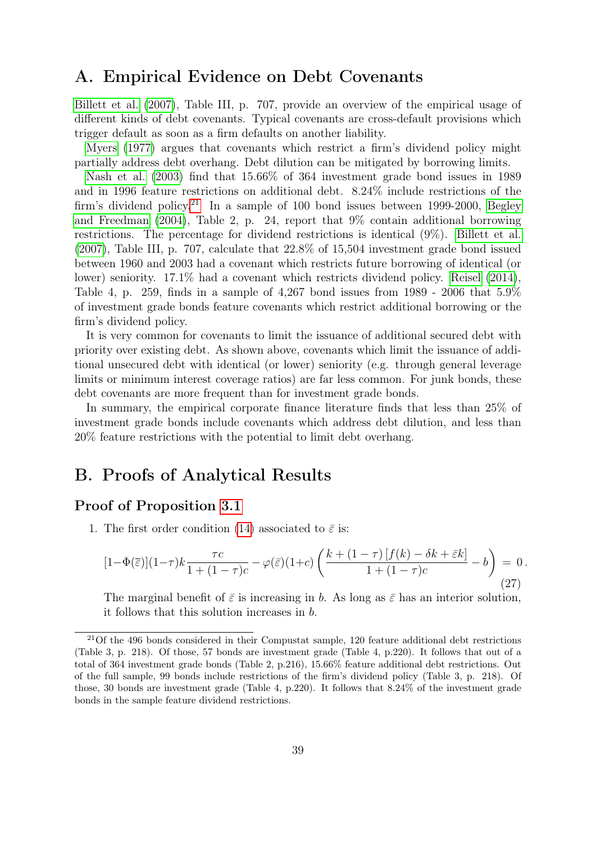## <span id="page-39-0"></span>A. Empirical Evidence on Debt Covenants

[Billett et al.](#page-35-2) [\(2007\)](#page-35-2), Table III, p. 707, provide an overview of the empirical usage of different kinds of debt covenants. Typical covenants are cross-default provisions which trigger default as soon as a firm defaults on another liability.

[Myers](#page-37-0) [\(1977\)](#page-37-0) argues that covenants which restrict a firm's dividend policy might partially address debt overhang. Debt dilution can be mitigated by borrowing limits.

[Nash et al.](#page-37-3) [\(2003\)](#page-37-3) find that 15.66% of 364 investment grade bond issues in 1989 and in 1996 feature restrictions on additional debt. 8.24% include restrictions of the firm's dividend policy.<sup>[21](#page-39-2)</sup> In a sample of 100 bond issues between 1999-2000, [Begley](#page-35-1) [and Freedman](#page-35-1) [\(2004\)](#page-35-1), Table 2, p. 24, report that 9% contain additional borrowing restrictions. The percentage for dividend restrictions is identical (9%). [Billett et al.](#page-35-2) [\(2007\)](#page-35-2), Table III, p. 707, calculate that 22.8% of 15,504 investment grade bond issued between 1960 and 2003 had a covenant which restricts future borrowing of identical (or lower) seniority. 17.1% had a covenant which restricts dividend policy. [Reisel](#page-38-1) [\(2014\)](#page-38-1), Table 4, p. 259, finds in a sample of  $4,267$  bond issues from 1989 - 2006 that  $5.9\%$ of investment grade bonds feature covenants which restrict additional borrowing or the firm's dividend policy.

It is very common for covenants to limit the issuance of additional secured debt with priority over existing debt. As shown above, covenants which limit the issuance of additional unsecured debt with identical (or lower) seniority (e.g. through general leverage limits or minimum interest coverage ratios) are far less common. For junk bonds, these debt covenants are more frequent than for investment grade bonds.

In summary, the empirical corporate finance literature finds that less than 25% of investment grade bonds include covenants which address debt dilution, and less than 20% feature restrictions with the potential to limit debt overhang.

## <span id="page-39-1"></span>B. Proofs of Analytical Results

## Proof of Proposition [3.1](#page-10-0)

1. The first order condition [\(14\)](#page-9-1) associated to  $\bar{\varepsilon}$  is:

$$
[1-\Phi(\overline{\varepsilon})](1-\tau)k\frac{\tau c}{1+(1-\tau)c} - \varphi(\overline{\varepsilon})(1+c)\left(\frac{k+(1-\tau)\left[f(k)-\delta k+\overline{\varepsilon}k\right]}{1+(1-\tau)c} - b\right) = 0.
$$
\n(27)

The marginal benefit of  $\bar{\varepsilon}$  is increasing in b. As long as  $\bar{\varepsilon}$  has an interior solution, it follows that this solution increases in b.

<span id="page-39-2"></span> $21$ Of the 496 bonds considered in their Compustat sample, 120 feature additional debt restrictions (Table 3, p. 218). Of those, 57 bonds are investment grade (Table 4, p.220). It follows that out of a total of 364 investment grade bonds (Table 2, p.216), 15.66% feature additional debt restrictions. Out of the full sample, 99 bonds include restrictions of the firm's dividend policy (Table 3, p. 218). Of those, 30 bonds are investment grade (Table 4, p.220). It follows that 8.24% of the investment grade bonds in the sample feature dividend restrictions.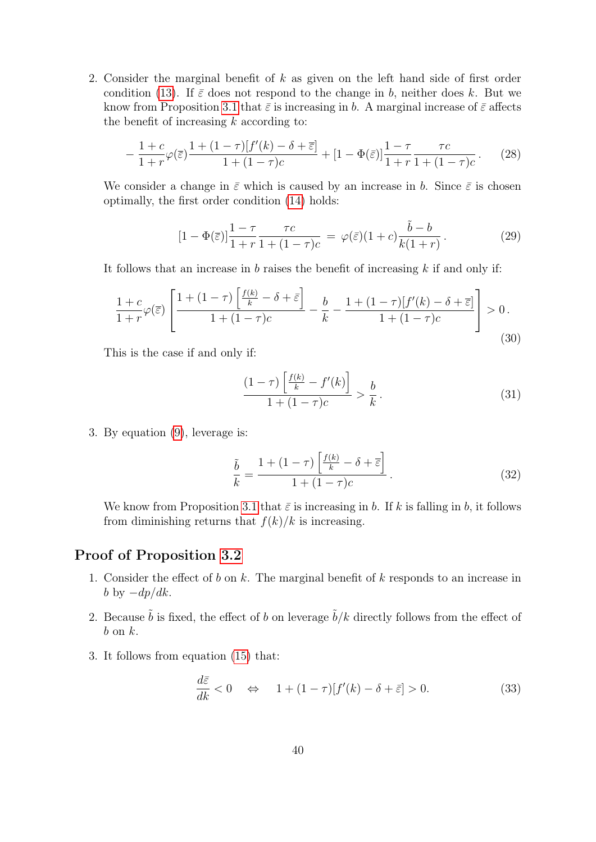2. Consider the marginal benefit of k as given on the left hand side of first order condition [\(13\)](#page-9-3). If  $\bar{\varepsilon}$  does not respond to the change in b, neither does k. But we know from Proposition [3.1](#page-10-0) that  $\bar{\varepsilon}$  is increasing in b. A marginal increase of  $\bar{\varepsilon}$  affects the benefit of increasing  $k$  according to:

$$
-\frac{1+c}{1+r}\varphi(\overline{\varepsilon})\frac{1+(1-\tau)[f'(k)-\delta+\overline{\varepsilon}]}{1+(1-\tau)c} + [1-\Phi(\overline{\varepsilon})]\frac{1-\tau}{1+r}\frac{\tau c}{1+(1-\tau)c}.
$$
 (28)

We consider a change in  $\bar{\varepsilon}$  which is caused by an increase in b. Since  $\bar{\varepsilon}$  is chosen optimally, the first order condition [\(14\)](#page-9-1) holds:

$$
[1 - \Phi(\overline{\varepsilon})] \frac{1 - \tau}{1 + r} \frac{\tau c}{1 + (1 - \tau)c} = \varphi(\overline{\varepsilon}) (1 + c) \frac{\tilde{b} - b}{k(1 + r)}.
$$
 (29)

It follows that an increase in  $b$  raises the benefit of increasing  $k$  if and only if:

$$
\frac{1+c}{1+r}\varphi(\overline{\varepsilon})\left[\frac{1+(1-\tau)\left[\frac{f(k)}{k}-\delta+\overline{\varepsilon}\right]}{1+(1-\tau)c}-\frac{b}{k}-\frac{1+(1-\tau)[f'(k)-\delta+\overline{\varepsilon}]}{1+(1-\tau)c}\right]>0.
$$
\n(30)

This is the case if and only if:

$$
\frac{(1-\tau)\left[\frac{f(k)}{k} - f'(k)\right]}{1+(1-\tau)c} > \frac{b}{k}.
$$
\n(31)

3. By equation [\(9\)](#page-8-1), leverage is:

$$
\frac{\tilde{b}}{k} = \frac{1 + (1 - \tau) \left[ \frac{f(k)}{k} - \delta + \overline{\varepsilon} \right]}{1 + (1 - \tau)c}.
$$
\n(32)

We know from Proposition [3.1](#page-10-0) that  $\bar{\varepsilon}$  is increasing in b. If k is falling in b, it follows from diminishing returns that  $f(k)/k$  is increasing.

## Proof of Proposition [3.2](#page-11-0)

- 1. Consider the effect of b on k. The marginal benefit of k responds to an increase in b by  $-dp/dk$ .
- 2. Because  $\tilde{b}$  is fixed, the effect of b on leverage  $\tilde{b}/k$  directly follows from the effect of  $b$  on  $k$ .
- 3. It follows from equation [\(15\)](#page-11-2) that:

$$
\frac{d\bar{\varepsilon}}{dk} < 0 \quad \Leftrightarrow \quad 1 + (1 - \tau)[f'(k) - \delta + \bar{\varepsilon}] > 0. \tag{33}
$$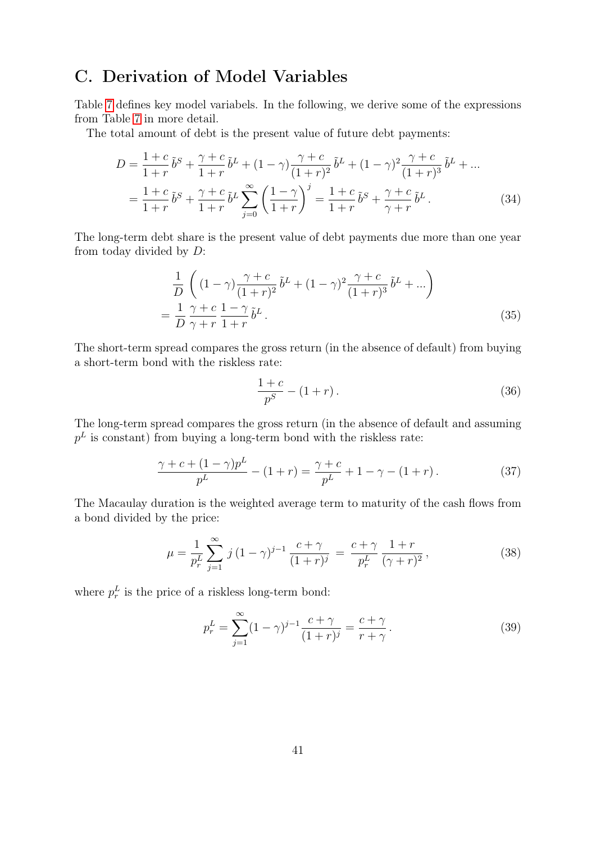## <span id="page-41-0"></span>C. Derivation of Model Variables

Table [7](#page-42-1) defines key model variabels. In the following, we derive some of the expressions from Table [7](#page-42-1) in more detail.

The total amount of debt is the present value of future debt payments:

$$
D = \frac{1+c}{1+r} \tilde{b}^S + \frac{\gamma+c}{1+r} \tilde{b}^L + (1-\gamma) \frac{\gamma+c}{(1+r)^2} \tilde{b}^L + (1-\gamma)^2 \frac{\gamma+c}{(1+r)^3} \tilde{b}^L + \dots
$$
  
= 
$$
\frac{1+c}{1+r} \tilde{b}^S + \frac{\gamma+c}{1+r} \tilde{b}^L \sum_{j=0}^{\infty} \left( \frac{1-\gamma}{1+r} \right)^j = \frac{1+c}{1+r} \tilde{b}^S + \frac{\gamma+c}{\gamma+r} \tilde{b}^L.
$$
 (34)

The long-term debt share is the present value of debt payments due more than one year from today divided by D:

$$
\frac{1}{D} \left( (1 - \gamma) \frac{\gamma + c}{(1 + r)^2} \tilde{b}^L + (1 - \gamma)^2 \frac{\gamma + c}{(1 + r)^3} \tilde{b}^L + \ldots \right)
$$
\n
$$
= \frac{1}{D} \frac{\gamma + c}{\gamma + r} \frac{1 - \gamma}{1 + r} \tilde{b}^L \,. \tag{35}
$$

The short-term spread compares the gross return (in the absence of default) from buying a short-term bond with the riskless rate:

$$
\frac{1+c}{p^S} - (1+r).
$$
\n(36)

The long-term spread compares the gross return (in the absence of default and assuming  $p<sup>L</sup>$  is constant) from buying a long-term bond with the riskless rate:

$$
\frac{\gamma + c + (1 - \gamma)p^L}{p^L} - (1 + r) = \frac{\gamma + c}{p^L} + 1 - \gamma - (1 + r). \tag{37}
$$

The Macaulay duration is the weighted average term to maturity of the cash flows from a bond divided by the price:

$$
\mu = \frac{1}{p_r^L} \sum_{j=1}^{\infty} j (1 - \gamma)^{j-1} \frac{c + \gamma}{(1+r)^j} = \frac{c + \gamma}{p_r^L} \frac{1+r}{(\gamma+r)^2},\tag{38}
$$

where  $p_r^L$  is the price of a riskless long-term bond:

$$
p_r^L = \sum_{j=1}^{\infty} (1 - \gamma)^{j-1} \frac{c + \gamma}{(1+r)^j} = \frac{c + \gamma}{r + \gamma}.
$$
 (39)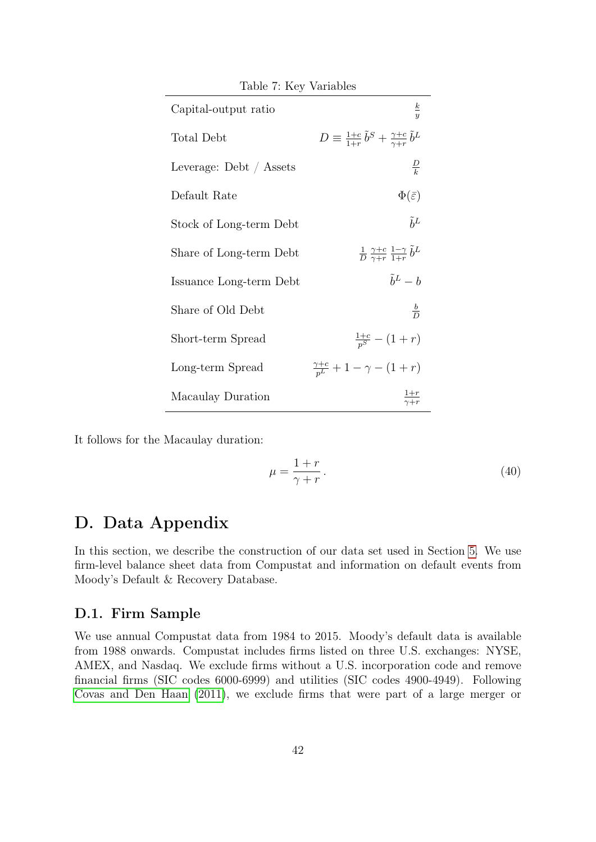<span id="page-42-1"></span>

| Table 7: Key Variables  |                                                                                |  |  |  |
|-------------------------|--------------------------------------------------------------------------------|--|--|--|
| Capital-output ratio    | $rac{k}{y}$                                                                    |  |  |  |
| Total Debt              | $D \equiv \frac{1+c}{1+r} \tilde{b}^S + \frac{\gamma+c}{\gamma+r} \tilde{b}^L$ |  |  |  |
| Leverage: Debt / Assets | $\frac{D}{k}$                                                                  |  |  |  |
| Default Rate            | $\Phi(\bar{\varepsilon})$                                                      |  |  |  |
| Stock of Long-term Debt | $\tilde{h}^L$                                                                  |  |  |  |
| Share of Long-term Debt | $rac{1}{D} \frac{\gamma+c}{\gamma+r} \frac{1-\gamma}{1+r} \tilde{b}^L$         |  |  |  |
| Issuance Long-term Debt | $\tilde{b}^L - b$                                                              |  |  |  |
| Share of Old Debt       | $rac{b}{D}$                                                                    |  |  |  |
| Short-term Spread       | $\frac{1+c}{n^S} - (1+r)$                                                      |  |  |  |
| Long-term Spread        | $\frac{\gamma+c}{n^L}+1-\gamma-(1+r)$                                          |  |  |  |
| Macaulay Duration       | $rac{1+r}{\gamma+r}$                                                           |  |  |  |

It follows for the Macaulay duration:

$$
\mu = \frac{1+r}{\gamma + r} \,. \tag{40}
$$

## <span id="page-42-0"></span>D. Data Appendix

In this section, we describe the construction of our data set used in Section [5.](#page-23-2) We use firm-level balance sheet data from Compustat and information on default events from Moody's Default & Recovery Database.

## D.1. Firm Sample

We use annual Compustat data from 1984 to 2015. Moody's default data is available from 1988 onwards. Compustat includes firms listed on three U.S. exchanges: NYSE, AMEX, and Nasdaq. We exclude firms without a U.S. incorporation code and remove financial firms (SIC codes 6000-6999) and utilities (SIC codes 4900-4949). Following [Covas and Den Haan](#page-36-15) [\(2011\)](#page-36-15), we exclude firms that were part of a large merger or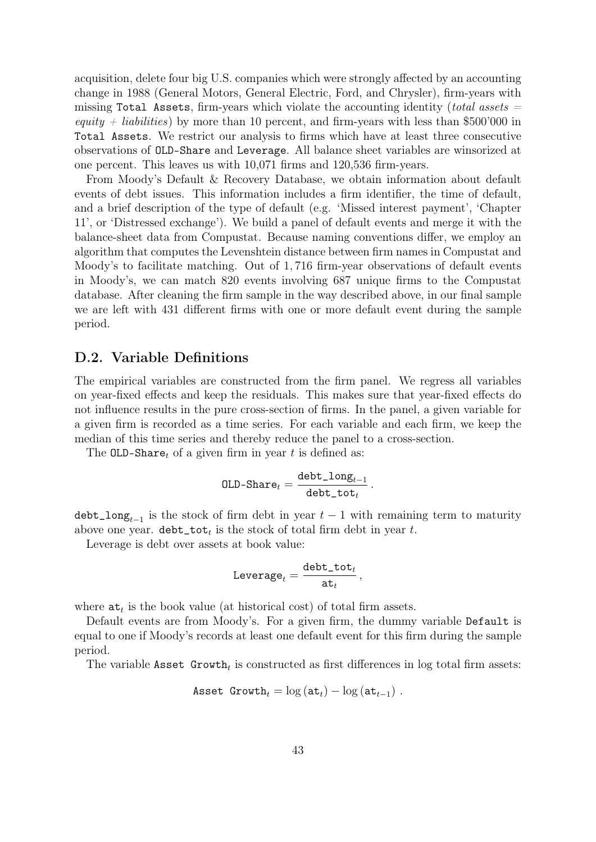acquisition, delete four big U.S. companies which were strongly affected by an accounting change in 1988 (General Motors, General Electric, Ford, and Chrysler), firm-years with missing Total Assets, firm-years which violate the accounting identity (total assets  $=$ equity  $+$  liabilities) by more than 10 percent, and firm-years with less than \$500'000 in Total Assets. We restrict our analysis to firms which have at least three consecutive observations of OLD-Share and Leverage. All balance sheet variables are winsorized at one percent. This leaves us with 10,071 firms and 120,536 firm-years.

From Moody's Default & Recovery Database, we obtain information about default events of debt issues. This information includes a firm identifier, the time of default, and a brief description of the type of default (e.g. 'Missed interest payment', 'Chapter 11', or 'Distressed exchange'). We build a panel of default events and merge it with the balance-sheet data from Compustat. Because naming conventions differ, we employ an algorithm that computes the Levenshtein distance between firm names in Compustat and Moody's to facilitate matching. Out of 1, 716 firm-year observations of default events in Moody's, we can match 820 events involving 687 unique firms to the Compustat database. After cleaning the firm sample in the way described above, in our final sample we are left with 431 different firms with one or more default event during the sample period.

### D.2. Variable Definitions

The empirical variables are constructed from the firm panel. We regress all variables on year-fixed effects and keep the residuals. This makes sure that year-fixed effects do not influence results in the pure cross-section of firms. In the panel, a given variable for a given firm is recorded as a time series. For each variable and each firm, we keep the median of this time series and thereby reduce the panel to a cross-section.

The OLD-Sharet of a given firm in year t is defined as:

$$
\texttt{OLD-Share}_t = \frac{\texttt{debt\_long}_{t-1}}{\texttt{debt\_tot}_t}
$$

.

 $\texttt{debt\_long}_{t-1}$  is the stock of firm debt in year  $t-1$  with remaining term to maturity above one year.  $\text{debt}\_\text{tot}$  is the stock of total firm debt in year t.

Leverage is debt over assets at book value:

$$
\texttt{Leverage}_t = \frac{\texttt{debt\_tot}_t}{\texttt{at}_t}\,,
$$

where  $\mathbf{at}_t$  is the book value (at historical cost) of total firm assets.

Default events are from Moody's. For a given firm, the dummy variable Default is equal to one if Moody's records at least one default event for this firm during the sample period.

The variable Asset  $Growth_t$  is constructed as first differences in log total firm assets:

$$
\text{Asset Growth}_t = \log(\text{at}_t) - \log(\text{at}_{t-1}).
$$